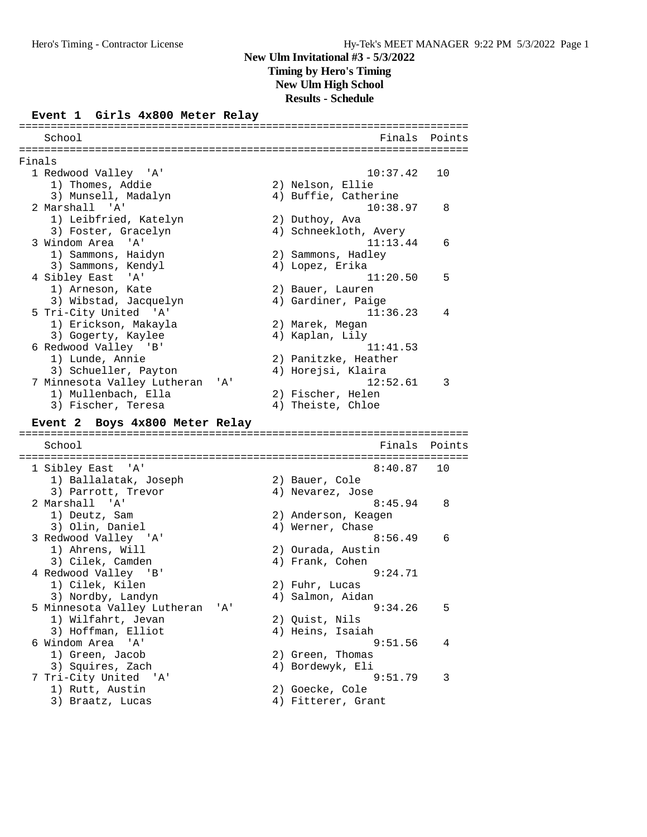**Timing by Hero's Timing**

**New Ulm High School Results - Schedule**

#### **Event 1 Girls 4x800 Meter Relay**

======================================================================= School **Finals** Points ======================================================================= Finals 1 Redwood Valley 'A' 10:37.42 10<br>1) Thomes, Addie 2) Nelson, Ellie 1) Thomes, Addie 2) Nelson, Ellie 3) Munsell, Madalyn (4) Buffie, Catherine 2 Marshall 'A' 10:38.97 8 1) Leibfried, Katelyn 2) Duthoy, Ava 3) Foster, Gracelyn 4) Schneekloth, Avery 3 Windom Area 'A' 11:13.44 6 1) Sammons, Haidyn 2) Sammons, Hadley 3) Sammons, Kendyl 4) Lopez, Erika 4 Sibley East 'A' 11:20.50 5 1) Arneson, Kate 2) Bauer, Lauren 3) Wibstad, Jacquelyn 4) Gardiner, Paige 5 Tri-City United 'A' 11:36.23 4 1) Erickson, Makayla 2) Marek, Megan 3) Gogerty, Kaylee  $\hskip1cm \hskip 4.6cm 4$ ) Kaplan, Lily 6 Redwood Valley 'B' 11:41.53 1) Lunde, Annie 2) Panitzke, Heather 3) Schueller, Payton (4) Horejsi, Klaira 7 Minnesota Valley Lutheran 'A' 12:52.61 3 1) Mullenbach, Ella 2) Fischer, Helen 3) Fischer, Teresa (4) Theiste, Chloe **Event 2 Boys 4x800 Meter Relay** ======================================================================= School **Finals Points** ======================================================================= 1 Sibley East 'A' 8:40.87 10 1) Ballalatak, Joseph 2) Bauer, Cole 3) Parrott, Trevor (4) Nevarez, Jose 2 Marshall 'A' 8:45.94 8 1) Deutz, Sam 2) Anderson, Keagen 3) Olin, Daniel (4) Werner, Chase 2) Aniverson, Keagen (1990)<br>3 Redwood Valley 'A' (1991) 8:56.49 (1991) 8:56.49 (1991) 8:56.49 (1991) 8:56.49 (1991) 8:56.49 (1991) 8:56.49 1) Ahrens, Will 2) Ourada, Austin 3) Cilek, Camden (4) Frank, Cohen 4 Redwood Valley 'B' 9:24.71 1) Cilek, Kilen 2) Fuhr, Lucas 3) Nordby, Landyn (4) Salmon, Aidan 5 Minnesota Valley Lutheran 'A' 9:34.26 5<br>1) Wilfahrt, Jevan 2) Quist, Nils<br>3) Hoffman, Elliot 4) Heins, Isaiah 1) Wilfahrt, Jevan 2) Quist, Nils 3) Hoffman, Elliot (4) Heins, Isaiah 6 Windom Area 'A' 9:51.56 4 1) Green, Jacob 2) Green, Thomas 3) Squires, Zach (4) Bordewyk, Eli 7 Tri-City United 'A' 9:51.79 3 1) Rutt, Austin 2) Goecke, Cole 3) Braatz, Lucas (4) Fitterer, Grant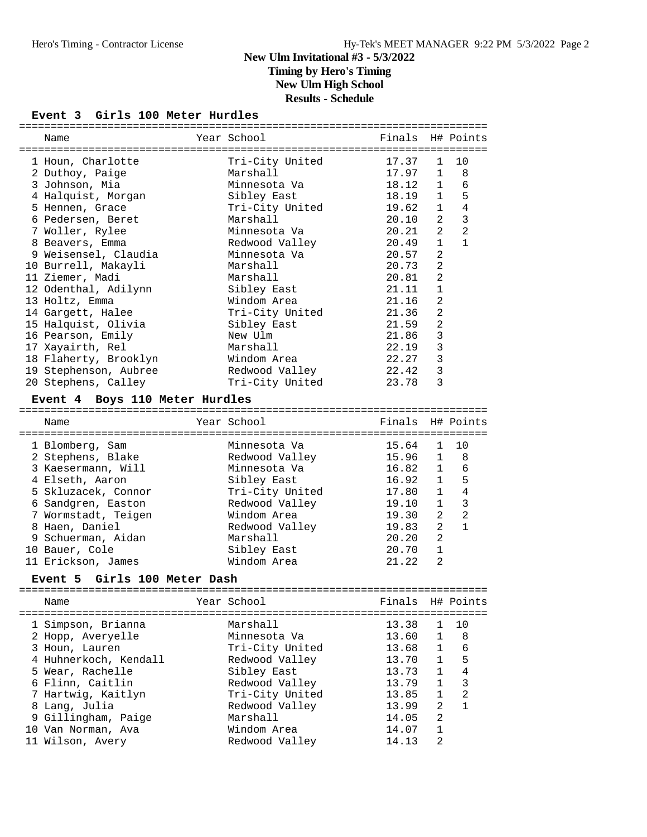**New Ulm High School**

**Results - Schedule**

#### **Event 3 Girls 100 Meter Hurdles**

| Name                            | Year School                         | Finals               |                | H# Points         |
|---------------------------------|-------------------------------------|----------------------|----------------|-------------------|
|                                 |                                     |                      |                |                   |
| 1 Houn, Charlotte               | Tri-City United                     | 17.37                | $\mathbf{1}$   | 10                |
| 2 Duthoy, Paige                 | Marshall                            | 17.97                | $\mathbf{1}$   | 8                 |
| 3 Johnson, Mia                  | Minnesota Va                        | 18.12                | $\mathbf{1}$   | 6                 |
| 4 Halquist, Morgan              | Sibley East                         | 18.19                | $\mathbf{1}$   | 5                 |
| 5 Hennen, Grace                 | Tri-City United                     | 19.62                | $\mathbf{1}$   | $\overline{4}$    |
| 6 Pedersen, Beret               | Marshall                            | 20.10                | 2              | $\overline{3}$    |
| 7 Woller, Rylee                 | Minnesota Va                        | 20.21                | 2              | 2                 |
| 8 Beavers, Emma                 | Redwood Valley                      | 20.49                | $\mathbf{1}$   | $\mathbf{1}$      |
| 9 Weisensel, Claudia            | Minnesota Va                        | 20.57                | 2              |                   |
| 10 Burrell, Makayli             | Marshall                            | 20.73                | $\overline{a}$ |                   |
| 11 Ziemer, Madi                 | Marshall                            | 20.81                | $\overline{a}$ |                   |
| 12 Odenthal, Adilynn            | Sibley East                         | 21.11                | $\mathbf{1}$   |                   |
| 13 Holtz, Emma                  | Windom Area                         | 21.16                | 2              |                   |
| 14 Gargett, Halee               | Tri-City United                     | 21.36                | $\overline{2}$ |                   |
| 15 Halquist, Olivia             | Sibley East                         | 21.59                | $\overline{2}$ |                   |
| 16 Pearson, Emily               | New Ulm                             | 21.86                | 3              |                   |
| 17 Xayairth, Rel                | Marshall                            | 22.19                | $\mathbf{3}$   |                   |
| 18 Flaherty, Brooklyn           | Windom Area                         | 22.27                | $\mathbf{3}$   |                   |
| 19 Stephenson, Aubree           | Redwood Valley                      | 22.42                | 3              |                   |
| 20 Stephens, Calley             | Tri-City United                     | 23.78                | 3              |                   |
| Event 4 Boys 110 Meter Hurdles  |                                     |                      |                |                   |
|                                 |                                     |                      |                |                   |
| Name                            | Year School                         | Finals               |                | H# Points         |
| 1 Blomberg, Sam                 | Minnesota Va                        | 15.64                | $\mathbf{1}$   | 10                |
| 2 Stephens, Blake               | Redwood Valley                      | 15.96                | $\mathbf{1}$   | 8                 |
| 3 Kaesermann, Will              | Minnesota Va                        | 16.82                | $\mathbf{1}$   | 6                 |
| 4 Elseth, Aaron                 | Sibley East                         | 16.92                | $\mathbf{1}$   | 5                 |
| 5 Skluzacek, Connor             | Tri-City United                     | 17.80                | $\mathbf{1}$   | $\overline{4}$    |
| 6 Sandgren, Easton              | Redwood Valley                      | 19.10                | $\mathbf{1}$   | 3                 |
| 7 Wormstadt, Teigen             | Windom Area                         | 19.30                | $\overline{2}$ | $\overline{2}$    |
| 8 Haen, Daniel                  | Redwood Valley                      | 19.83                | 2              | $\mathbf{1}$      |
| 9 Schuerman, Aidan              | Marshall                            | 20.20                | 2              |                   |
| 10 Bauer, Cole                  | Sibley East                         | 20.70                | $\mathbf{1}$   |                   |
|                                 | Windom Area                         | 21.22                | 2              |                   |
| 11 Erickson, James              |                                     |                      |                |                   |
| Girls 100 Meter Dash<br>Event 5 |                                     |                      |                |                   |
| Name                            | Year School                         | Finals               |                | H# Points         |
|                                 | -----------------------<br>Marshall | $=$ $=$ $=$<br>13.38 | 1              | $= = = = =$<br>10 |
| 1 Simpson, Brianna              | Minnesota Va                        | 13.60                | 1              | 8                 |
| 2 Hopp, Averyelle               |                                     |                      | $\mathbf{1}$   | 6                 |
| 3 Houn, Lauren                  | Tri-City United                     | 13.68                |                |                   |
| 4 Huhnerkoch, Kendall           | Redwood Valley                      | 13.70                | $\mathbf{1}$   | 5<br>4            |
| 5 Wear, Rachelle                | Sibley East                         | 13.73                | 1              |                   |
| 6 Flinn, Caitlin                | Redwood Valley                      | 13.79                | $\mathbf{1}$   | 3                 |
| 7 Hartwig, Kaitlyn              | Tri-City United                     | 13.85                | $\mathbf{1}$   | 2                 |
| 8 Lang, Julia                   | Redwood Valley                      | 13.99                | 2              | $\mathbf{1}$      |
| 9 Gillingham, Paige             | Marshall                            | 14.05                | 2              |                   |
| 10 Van Norman, Ava              | Windom Area                         | 14.07                | $\mathbf{1}$   |                   |
| 11 Wilson, Avery                | Redwood Valley                      | 14.13                | 2              |                   |
|                                 |                                     |                      |                |                   |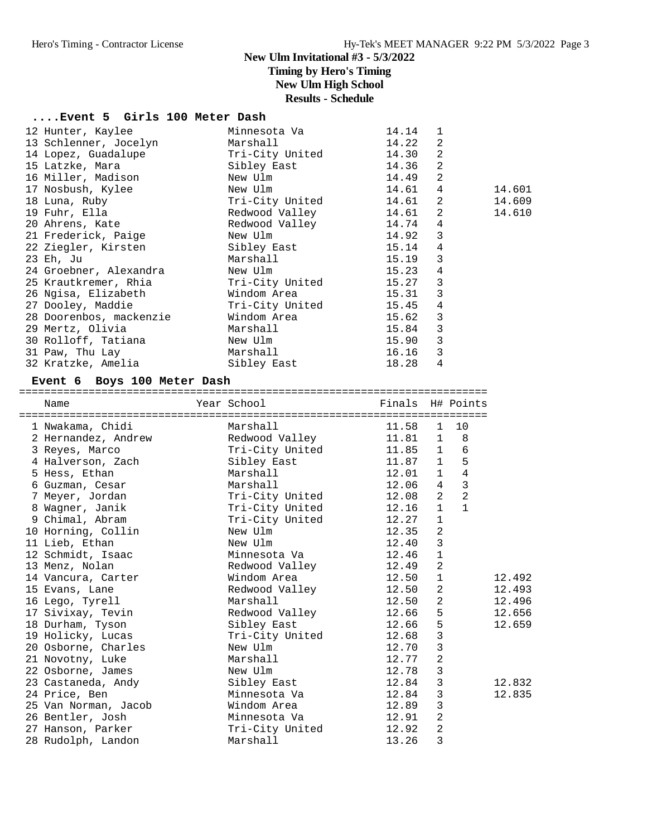## **New Ulm Invitational #3 - 5/3/2022 Timing by Hero's Timing New Ulm High School Results - Schedule**

**....Event 5 Girls 100 Meter Dash**

| 12 Hunter, Kaylee       | Minnesota Va                | 14.14   | $\mathbf{1}$   |        |
|-------------------------|-----------------------------|---------|----------------|--------|
| 13 Schlenner, Jocelyn   | Marshall                    | 14.22   | 2              |        |
| 14 Lopez, Guadalupe     | Tri-City United 14.30 2     |         |                |        |
| 15 Latzke, Mara         | Sibley East 14.36 2         |         |                |        |
| 16 Miller, Madison      | New Ulm 14.49               |         | 2              |        |
| 17 Nosbush, Kylee       | New Ulm                     | 14.61 4 |                | 14.601 |
| 18 Luna, Ruby           | Tri-City United             | 14.61 2 |                | 14.609 |
| 19 Fuhr, Ella           | Redwood Valley 14.61 2      |         |                | 14.610 |
| 20 Ahrens, Kate         | Redwood Valley 14.74        |         | $\overline{4}$ |        |
| 21 Frederick, Paige     | New Ulm                     | 14.92   | 3              |        |
| 22 Ziegler, Kirsten     | Sibley East the Sibley Bast | 15.14   | $\overline{4}$ |        |
| 23 Eh, Ju               | Marshall                    | 15.19   | 3              |        |
| 24 Groebner, Alexandra  | New Ulm                     | 15.23   | $\overline{4}$ |        |
| 25 Krautkremer, Rhia    | Tri-City United 15.27       |         | 3              |        |
| 26 Ngisa, Elizabeth     |                             |         | 3              |        |
| 27 Dooley, Maddie       | Tri-City United 15.45       |         | $\overline{4}$ |        |
| 28 Doorenbos, mackenzie | Windom Area                 | 15.62   | $\overline{3}$ |        |
| 29 Mertz, Olivia        | Marshall                    | 15.84   | 3              |        |
| 30 Rolloff, Tatiana     | New Ulm                     | 15.90   | 3              |        |
| 31 Paw, Thu Lay         | Marshall                    | 16.16   | 3              |        |
| 32 Kratzke, Amelia      | Sibley East                 | 18.28   | 4              |        |

#### **Event 6 Boys 100 Meter Dash**

==========================================================================

| Year School     |                                        |                 |                                                                                                                                                                                                                                                                                  |                                                                                  |
|-----------------|----------------------------------------|-----------------|----------------------------------------------------------------------------------------------------------------------------------------------------------------------------------------------------------------------------------------------------------------------------------|----------------------------------------------------------------------------------|
| Marshall        | 11.58                                  | 1               | 10                                                                                                                                                                                                                                                                               |                                                                                  |
| Redwood Valley  |                                        | $\mathbf{1}$    | 8                                                                                                                                                                                                                                                                                |                                                                                  |
| Tri-City United |                                        | $\mathbf{1}$    | 6                                                                                                                                                                                                                                                                                |                                                                                  |
| Sibley East     |                                        |                 | 5                                                                                                                                                                                                                                                                                |                                                                                  |
| Marshall        |                                        | $\mathbf{1}$    | $\overline{4}$                                                                                                                                                                                                                                                                   |                                                                                  |
| Marshall        |                                        | 4               |                                                                                                                                                                                                                                                                                  |                                                                                  |
| Tri-City United |                                        | 2               |                                                                                                                                                                                                                                                                                  |                                                                                  |
|                 |                                        | $\mathbf{1}$    | $\mathbf{1}$                                                                                                                                                                                                                                                                     |                                                                                  |
| Tri-City United |                                        | $\mathbf{1}$    |                                                                                                                                                                                                                                                                                  |                                                                                  |
| New Ulm         | 12.35                                  | $\overline{2}$  |                                                                                                                                                                                                                                                                                  |                                                                                  |
| New Ulm         | 12.40                                  |                 |                                                                                                                                                                                                                                                                                  |                                                                                  |
| Minnesota Va    |                                        |                 |                                                                                                                                                                                                                                                                                  |                                                                                  |
| Redwood Valley  |                                        | $\overline{2}$  |                                                                                                                                                                                                                                                                                  |                                                                                  |
| Windom Area     | 12.50                                  | $\mathbf{1}$    |                                                                                                                                                                                                                                                                                  | 12.492                                                                           |
| Redwood Valley  |                                        |                 |                                                                                                                                                                                                                                                                                  | 12.493                                                                           |
| Marshall        |                                        | $\overline{2}$  |                                                                                                                                                                                                                                                                                  | 12.496                                                                           |
| Redwood Valley  |                                        |                 |                                                                                                                                                                                                                                                                                  | 12.656                                                                           |
| Sibley East     | 12.66                                  |                 |                                                                                                                                                                                                                                                                                  | 12.659                                                                           |
| Tri-City United | 12.68                                  |                 |                                                                                                                                                                                                                                                                                  |                                                                                  |
| New Ulm         | 12.70                                  |                 |                                                                                                                                                                                                                                                                                  |                                                                                  |
| Marshall        |                                        |                 |                                                                                                                                                                                                                                                                                  |                                                                                  |
| New Ulm         | 12.78                                  | 3               |                                                                                                                                                                                                                                                                                  |                                                                                  |
| Sibley East     | 12.84                                  | $\overline{3}$  |                                                                                                                                                                                                                                                                                  | 12.832                                                                           |
| Minnesota Va    |                                        | 3               |                                                                                                                                                                                                                                                                                  | 12.835                                                                           |
| Windom Area     |                                        |                 |                                                                                                                                                                                                                                                                                  |                                                                                  |
| Minnesota Va    | 12.91                                  | $\overline{2}$  |                                                                                                                                                                                                                                                                                  |                                                                                  |
| Tri-City United | 12.92                                  | 2               |                                                                                                                                                                                                                                                                                  |                                                                                  |
| Marshall        | 13.26                                  | 3               |                                                                                                                                                                                                                                                                                  |                                                                                  |
|                 | ====================================== | Tri-City United | Finals<br>11.81<br>11.85<br>11.87 1<br>12.01<br>12.06<br>12.08<br>12.16<br>12.27<br>$\overline{3}$<br>$\mathbf 1$<br>12.46<br>12.49<br>$\overline{2}$<br>12.50<br>12.50<br>5<br>12.66<br>5<br>3<br>$\overline{3}$<br>$\overline{2}$<br>12.77<br>12.84<br>$\overline{3}$<br>12.89 | H# Points<br>:==============================<br>$\overline{3}$<br>$\overline{a}$ |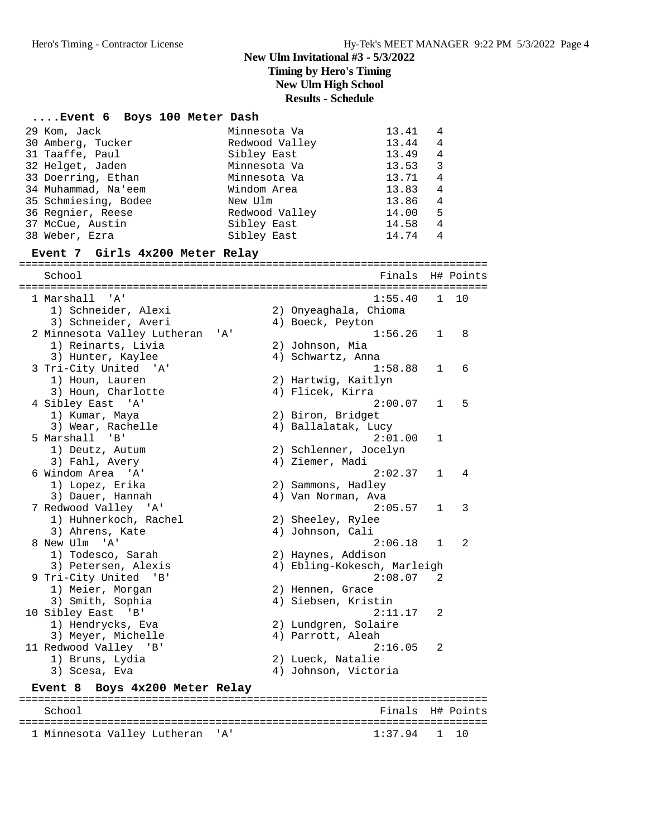## **New Ulm Invitational #3 - 5/3/2022 Timing by Hero's Timing New Ulm High School**

**Results - Schedule**

## **....Event 6 Boys 100 Meter Dash**

| 29 Kom, Jack         | Minnesota Va   | 13.41           | $\overline{4}$ |
|----------------------|----------------|-----------------|----------------|
| 30 Amberg, Tucker    | Redwood Valley | 13.44           | $\overline{4}$ |
| 31 Taaffe, Paul      | Sibley East    | 13.49           | $\overline{4}$ |
| 32 Helget, Jaden     | Minnesota Va   | $13.53 \quad 3$ |                |
| 33 Doerring, Ethan   | Minnesota Va   | 13.71           | 4              |
| 34 Muhammad, Na'eem  | Windom Area    | 13.83           | 4              |
| 35 Schmiesing, Bodee | New Ulm        | 13.86           | $\overline{4}$ |
| 36 Regnier, Reese    | Redwood Valley | 14.00           | 5              |
| 37 McCue, Austin     | Sibley East    | 14.58           | 4              |
| 38 Weber, Ezra       | Sibley East    | 14.74           | 4              |

#### **Event 7 Girls 4x200 Meter Relay**

========================================================================== School **Finals** H# Points

| 1 Marshall 'A'                           | 1:55.40                     | $\mathbf{1}$ | 1 O |
|------------------------------------------|-----------------------------|--------------|-----|
| 1) Schneider, Alexi                      | 2) Onyeaghala, Chioma       |              |     |
| 3) Schneider, Averi                      | 4) Boeck, Peyton            |              |     |
| 2 Minnesota Valley Lutheran<br>'A'       | 1:56.26                     | $\mathbf{1}$ | 8   |
| 1) Reinarts, Livia                       | 2) Johnson, Mia             |              |     |
| 3) Hunter, Kaylee                        | 4) Schwartz, Anna           |              |     |
| 3 Tri-City United 'A'                    | 1:58.88                     | $\mathbf{1}$ | 6   |
| 1) Houn, Lauren                          | 2) Hartwig, Kaitlyn         |              |     |
| 3) Houn, Charlotte                       | 4) Flicek, Kirra            |              |     |
| 4 Sibley East 'A'                        | 2:00.07                     | $\mathbf{1}$ | 5   |
| 1) Kumar, Maya                           | 2) Biron, Bridget           |              |     |
| 3) Wear, Rachelle                        | 4) Ballalatak, Lucy         |              |     |
| 5 Marshall 'B'                           | 2:01.00                     | $\mathbf 1$  |     |
| 1) Deutz, Autum                          | 2) Schlenner, Jocelyn       |              |     |
| 3) Fahl, Avery                           | 4) Ziemer, Madi             |              |     |
| 6 Windom Area 'A'                        | 2:02.37                     | 1            | 4   |
| 1) Lopez, Erika                          | 2) Sammons, Hadley          |              |     |
| 3) Dauer, Hannah                         | 4) Van Norman, Ava          |              |     |
| 7 Redwood Valley 'A'                     | 2:05.57                     | 1            | 3   |
| 1) Huhnerkoch, Rachel                    | 2) Sheeley, Rylee           |              |     |
| 3) Ahrens, Kate                          | 4) Johnson, Cali            |              |     |
| 8 New Ulm 'A'                            | 2:06.18                     | 1            | 2   |
| 1) Todesco, Sarah                        | 2) Haynes, Addison          |              |     |
| 3) Petersen, Alexis                      | 4) Ebling-Kokesch, Marleigh |              |     |
| 9 Tri-City United 'B'                    | 2:08.07                     | 2            |     |
| 1) Meier, Morgan                         | 2) Hennen, Grace            |              |     |
| 3) Smith, Sophia                         | 4) Siebsen, Kristin         |              |     |
| 10 Sibley East 'B'                       | 2:11.17                     | 2            |     |
| 1) Hendrycks, Eva                        | 2) Lundgren, Solaire        |              |     |
| 3) Meyer, Michelle                       | 4) Parrott, Aleah           |              |     |
| 11 Redwood Valley 'B'                    | 2:16.05                     | 2            |     |
| 1) Bruns, Lydia                          | 2) Lueck, Natalie           |              |     |
| 3) Scesa, Eva                            | 4) Johnson, Victoria        |              |     |
| Boys 4x200 Meter Relay<br><b>Event 8</b> |                             |              |     |
| School                                   | Finals H# Points            |              |     |

School **Finals** H# Points ========================================================================== 1 Minnesota Valley Lutheran 'A'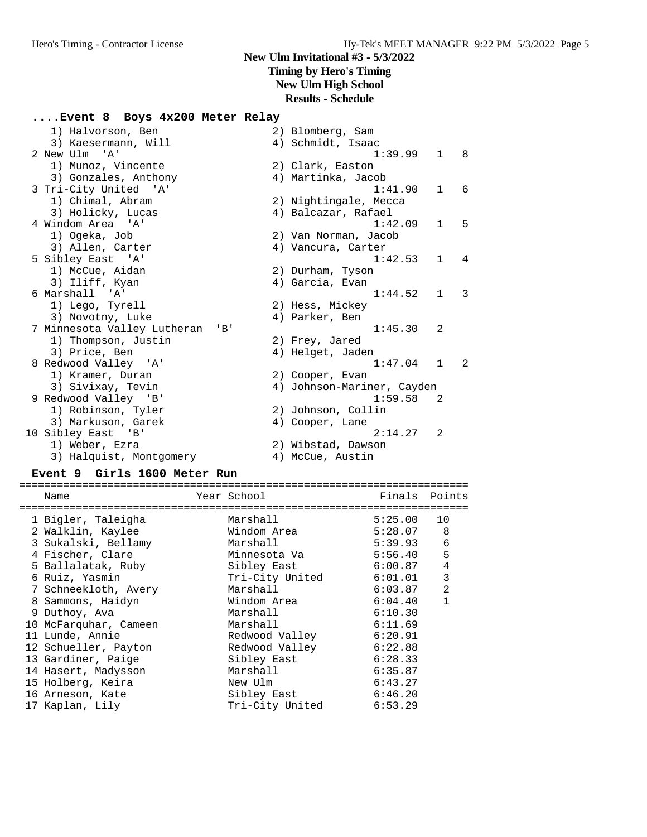## **New Ulm High School**

**Results - Schedule**

## **....Event 8 Boys 4x200 Meter Relay**

| 1) Halvorson, Ben                        | 2) Blomberg, Sam           |              |   |
|------------------------------------------|----------------------------|--------------|---|
| 3) Kaesermann, Will                      | 4) Schmidt, Isaac          |              |   |
| 2 New Ulm 'A'                            | $1:39.99$ 1                |              | 8 |
| 1) Munoz, Vincente                       | 2) Clark, Easton           |              |   |
| 3) Gonzales, Anthony                     | 4) Martinka, Jacob         |              |   |
| 3 Tri-City United 'A'                    | 1:41.90                    | $\mathbf{1}$ | 6 |
| 1) Chimal, Abram                         | 2) Nightingale, Mecca      |              |   |
| 3) Holicky, Lucas                        | 4) Balcazar, Rafael        |              |   |
| 4 Windom Area 'A'                        | 1:42.09                    | $\mathbf{1}$ | 5 |
| 1) Ogeka, Job                            | 2) Van Norman, Jacob       |              |   |
| 3) Allen, Carter                         | 4) Vancura, Carter         |              |   |
| 5 Sibley East 'A'                        | 1:42.53                    | $\mathbf{1}$ | 4 |
| 1) McCue, Aidan                          | 2) Durham, Tyson           |              |   |
| 3) Iliff, Kyan                           | 4) Garcia, Evan            |              |   |
| 6 Marshall 'A'                           | 1:44.52                    | $\mathbf{1}$ | 3 |
| 1) Lego, Tyrell                          | 2) Hess, Mickey            |              |   |
| 3) Novotny, Luke                         | 4) Parker, Ben             |              |   |
| 7 Minnesota Valley Lutheran<br>$'$ B $'$ | 1:45.30                    | 2            |   |
| 1) Thompson, Justin                      | 2) Frey, Jared             |              |   |
| 3) Price, Ben                            | 4) Helget, Jaden           |              |   |
| 8 Redwood Valley 'A'                     | 1:47.04                    | $\mathbf{1}$ | 2 |
| 1) Kramer, Duran                         | 2) Cooper, Evan            |              |   |
| 3) Sivixay, Tevin                        | 4) Johnson-Mariner, Cayden |              |   |
| 9 Redwood Valley 'B'                     | 1:59.58                    | -2           |   |
| 1) Robinson, Tyler                       | 2) Johnson, Collin         |              |   |
| 3) Markuson, Garek                       | 4) Cooper, Lane            |              |   |
| 10 Sibley East 'B'                       | 2:14.27                    | 2            |   |
| 1) Weber, Ezra                           | 2) Wibstad, Dawson         |              |   |
| 3) Halquist, Montgomery                  | 4) McCue, Austin           |              |   |
|                                          |                            |              |   |

## **Event 9 Girls 1600 Meter Run**

| Name                  | Year School     | Finals Points |                |
|-----------------------|-----------------|---------------|----------------|
| 1 Bigler, Taleigha    | Marshall        | 5:25.00       | 10             |
| 2 Walklin, Kaylee     | Windom Area     | 5:28.07       | 8              |
| 3 Sukalski, Bellamy   | Marshall        | 5:39.93       | 6              |
| 4 Fischer, Clare      | Minnesota Va    | 5:56.40       | 5              |
| 5 Ballalatak, Ruby    | Sibley East     | 6:00.87       | 4              |
| 6 Ruiz, Yasmin        | Tri-City United | 6:01.01       | 3              |
| 7 Schneekloth, Avery  | Marshall        | 6:03.87       | $\overline{2}$ |
| 8 Sammons, Haidyn     | Windom Area     | 6:04.40       | 1              |
| 9 Duthoy, Ava         | Marshall        | 6:10.30       |                |
| 10 McFarquhar, Cameen | Marshall        | 6:11.69       |                |
| 11 Lunde, Annie       | Redwood Valley  | 6:20.91       |                |
| 12 Schueller, Payton  | Redwood Valley  | 6:22.88       |                |
| 13 Gardiner, Paige    | Sibley East     | 6:28.33       |                |
| 14 Hasert, Madysson   | Marshall        | 6:35.87       |                |
| 15 Holberg, Keira     | New Ulm         | 6:43.27       |                |
| 16 Arneson, Kate      | Sibley East     | 6:46.20       |                |
| 17 Kaplan, Lily       | Tri-City United | 6:53.29       |                |
|                       |                 |               |                |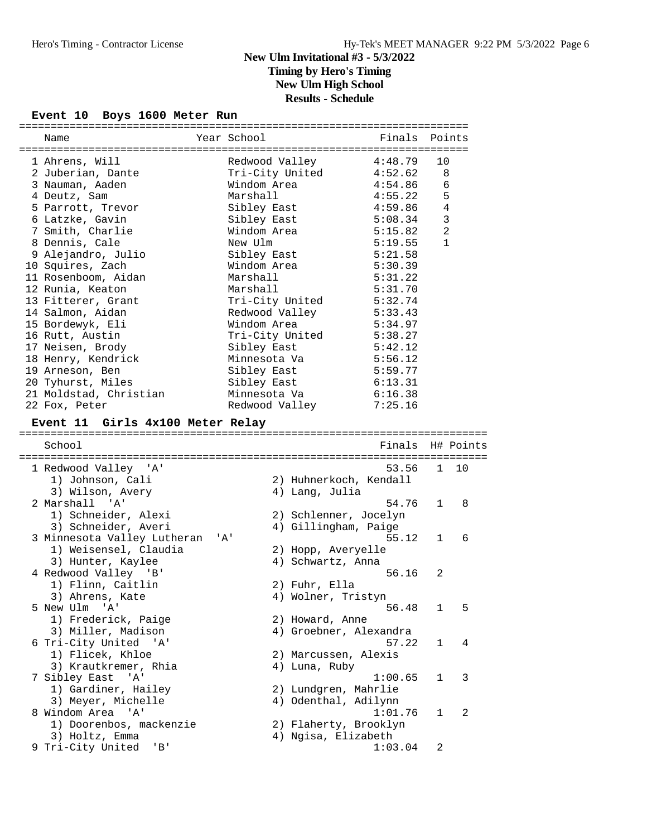## **New Ulm Invitational #3 - 5/3/2022 Timing by Hero's Timing New Ulm High School**

**Results - Schedule**

## **Event 10 Boys 1600 Meter Run**

| Name                             |     | Year School     |                        | Finals           |    | Points         |
|----------------------------------|-----|-----------------|------------------------|------------------|----|----------------|
|                                  |     |                 |                        |                  |    |                |
| 1 Ahrens, Will                   |     | Redwood Valley  |                        | 4:48.79          | 10 |                |
| 2 Juberian, Dante                |     | Tri-City United |                        | 4:52.62          |    | 8              |
| 3 Nauman, Aaden                  |     | Windom Area     |                        | 4:54.86          |    | 6              |
| 4 Deutz, Sam                     |     | Marshall        |                        | 4:55.22          |    | 5              |
| 5 Parrott, Trevor                |     | Sibley East     |                        | 4:59.86          |    | 4              |
| 6 Latzke, Gavin                  |     | Sibley East     |                        | 5:08.34          |    | 3              |
| 7 Smith, Charlie                 |     | Windom Area     |                        | 5:15.82          |    | $\overline{a}$ |
| 8 Dennis, Cale                   |     | New Ulm         |                        | 5:19.55          |    | $\mathbf{1}$   |
| 9 Alejandro, Julio               |     | Sibley East     |                        | 5:21.58          |    |                |
| 10 Squires, Zach                 |     | Windom Area     |                        | 5:30.39          |    |                |
| 11 Rosenboom, Aidan              |     | Marshall        |                        | 5:31.22          |    |                |
| 12 Runia, Keaton                 |     | Marshall        |                        | 5:31.70          |    |                |
| 13 Fitterer, Grant               |     | Tri-City United |                        | 5:32.74          |    |                |
| 14 Salmon, Aidan                 |     | Redwood Valley  |                        | 5:33.43          |    |                |
| 15 Bordewyk, Eli                 |     | Windom Area     |                        | 5:34.97          |    |                |
| 16 Rutt, Austin                  |     | Tri-City United |                        | 5:38.27          |    |                |
| 17 Neisen, Brody                 |     | Sibley East     |                        | 5:42.12          |    |                |
| 18 Henry, Kendrick               |     | Minnesota Va    |                        | 5:56.12          |    |                |
| 19 Arneson, Ben                  |     | Sibley East     |                        |                  |    |                |
|                                  |     |                 |                        | 5:59.77          |    |                |
| 20 Tyhurst, Miles                |     | Sibley East     |                        | 6:13.31          |    |                |
| 21 Moldstad, Christian           |     | Minnesota Va    |                        | 6:16.38          |    |                |
| 22 Fox, Peter                    |     | Redwood Valley  |                        | 7:25.16          |    |                |
| Event 11 Girls 4x100 Meter Relay |     |                 |                        |                  |    |                |
|                                  |     |                 |                        |                  |    |                |
| School                           |     |                 |                        | Finals H# Points |    |                |
| 1 Redwood Valley 'A'             |     |                 |                        | 53.56            |    | 1 10           |
| 1) Johnson, Cali                 |     |                 | 2) Huhnerkoch, Kendall |                  |    |                |
| 3) Wilson, Avery                 |     |                 | 4) Lang, Julia         |                  |    |                |
| 2 Marshall 'A'                   |     |                 |                        | 54.76            | 1  | 8              |
| 1) Schneider, Alexi              |     |                 | 2) Schlenner, Jocelyn  |                  |    |                |
| 3) Schneider, Averi              |     |                 | 4) Gillingham, Paige   |                  |    |                |
| 3 Minnesota Valley Lutheran      | 'A' |                 |                        | 55.12            | 1  | 6              |
| 1) Weisensel, Claudia            |     |                 | 2) Hopp, Averyelle     |                  |    |                |
| 3) Hunter, Kaylee                |     |                 | 4) Schwartz, Anna      |                  |    |                |
| 4 Redwood Valley 'B'             |     |                 |                        | 56.16            | 2  |                |
| 1) Flinn, Caitlin                |     |                 |                        |                  |    |                |
|                                  |     |                 | 2) Fuhr, Ella          |                  |    |                |
| 3) Ahrens, Kate                  |     |                 | 4) Wolner, Tristyn     |                  |    |                |
| 5 New Ulm 'A'                    |     |                 |                        | 56.48            | 1  | 5              |
| 1) Frederick, Paige              |     |                 | 2) Howard, Anne        |                  |    |                |
| 3) Miller, Madison               |     |                 | 4) Groebner, Alexandra |                  |    |                |
| 6 Tri-City United 'A'            |     |                 |                        | 57.22            | 1  | 4              |
| 1) Flicek, Khloe                 |     |                 | 2) Marcussen, Alexis   |                  |    |                |
| 3) Krautkremer, Rhia             |     |                 | 4) Luna, Ruby          |                  |    |                |
| 7 Sibley East 'A'                |     |                 |                        | 1:00.65          | 1  | 3              |
| 1) Gardiner, Hailey              |     |                 | 2) Lundgren, Mahrlie   |                  |    |                |
| 3) Meyer, Michelle               |     |                 | 4) Odenthal, Adilynn   |                  |    |                |
| 8 Windom Area 'A'                |     |                 |                        | 1:01.76          | 1  | 2              |
| 1) Doorenbos, mackenzie          |     |                 | 2) Flaherty, Brooklyn  |                  |    |                |
| 3) Holtz, Emma                   |     |                 | 4) Ngisa, Elizabeth    |                  |    |                |
| 9 Tri-City United<br>'B'         |     |                 |                        | 1:03.04          | 2  |                |
|                                  |     |                 |                        |                  |    |                |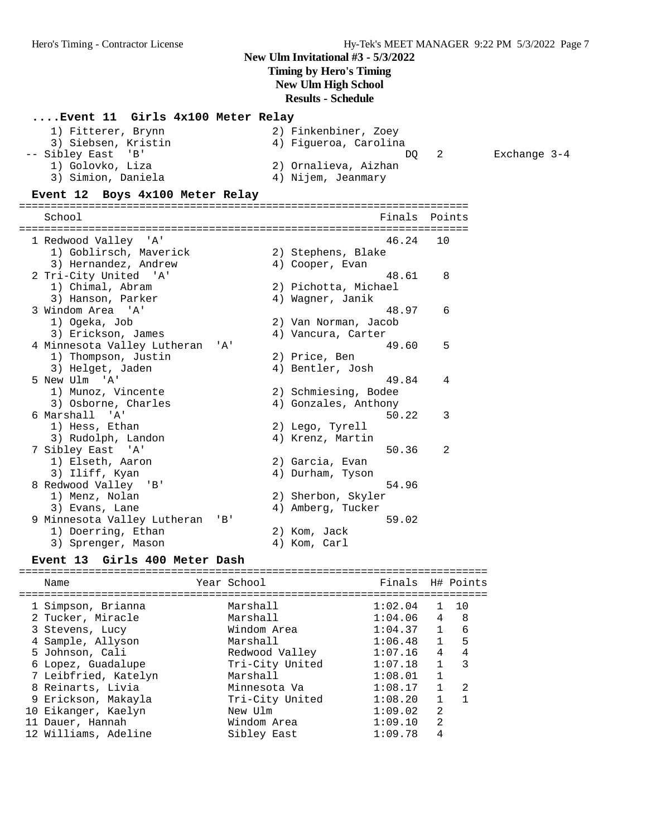## **New Ulm Invitational #3 - 5/3/2022 Timing by Hero's Timing New Ulm High School**

**Results - Schedule**

#### **....Event 11 Girls 4x100 Meter Relay**

| 1) Fitterer, Brynn  | 2) Finkenbiner, Zoey  |              |
|---------------------|-----------------------|--------------|
| 3) Siebsen, Kristin | 4) Fiqueroa, Carolina |              |
| -- Sibley East 'B'  | DO 2                  | Exchange 3-4 |
| 1) Golovko, Liza    | 2) Ornalieva, Aizhan  |              |
| 3) Simion, Daniela  | 4) Nijem, Jeanmary    |              |

#### **Event 12 Boys 4x100 Meter Relay**

======================================================================= School **Finals** Points ======================================================================= 1 Redwood Valley 'A' 46.24 10 1) Goblirsch, Maverick 2) Stephens, Blake 3) Hernandez, Andrew (4) Cooper, Evan 2 Tri-City United 'A' 48.61 8 1) Chimal, Abram 2) Pichotta, Michael 3) Hanson, Parker (4) Wagner, Janik 3 Windom Area 'A' 48.97 6 1) Ogeka, Job 2) Van Norman, Jacob 3) Erickson, James (4) Vancura, Carter 4 Minnesota Valley Lutheran 'A' 49.60 5 1) Thompson, Justin 2) Price, Ben 3) Helget, Jaden (4) Bentler, Josh 5 New Ulm 'A' 49.84 4 1) Munoz, Vincente 2) Schmiesing, Bodee 3) Osborne, Charles (4) Gonzales, Anthony 6 Marshall 'A' 50.22 3 1) Hess, Ethan 2) Lego, Tyrell 3) Rudolph, Landon (4) Krenz, Martin 7 Sibley East 'A' 50.36 2 1) Elseth, Aaron (2) Garcia, Evan (3) Iliff, Kyan (3) 4) Durham, Tyson 3) Iliff, Kyan (4) Durham, Tyson 8 Redwood Valley 'B' 54.96 1) Menz, Nolan 2) Sherbon, Skyler 3) Evans, Lane 1999 (1999) 4) Amberg, Tucker 9 Minnesota Valley Lutheran 'B' 59.02 1) Doerring, Ethan 2) Kom, Jack 3) Sprenger, Mason and A (4) Kom, Carl

#### **Event 13 Girls 400 Meter Dash**

| Name                                                                                                                                                                  | Year School                                                                                                      | Finals H# Points                                                                     |                                                                                                       |                                               |
|-----------------------------------------------------------------------------------------------------------------------------------------------------------------------|------------------------------------------------------------------------------------------------------------------|--------------------------------------------------------------------------------------|-------------------------------------------------------------------------------------------------------|-----------------------------------------------|
| 1 Simpson, Brianna<br>2 Tucker, Miracle<br>3 Stevens, Lucy<br>4 Sample, Allyson<br>5 Johnson, Cali<br>6 Lopez, Guadalupe<br>7 Leibfried, Katelyn<br>8 Reinarts, Livia | Marshall<br>Marshall<br>Windom Area<br>Marshall<br>Redwood Valley<br>Tri-City United<br>Marshall<br>Minnesota Va | 1:02.04<br>1:04.06<br>1:04.37<br>1:06.48<br>1:07.16<br>1:07.18<br>1:08.01<br>1:08.17 | $\mathbf{1}$<br>$\overline{4}$<br>$\overline{1}$<br>$\mathbf{1}$<br>4<br>$\mathbf{1}$<br>$\mathbf{1}$ | 10<br>8<br>6<br>5<br>4<br>3<br>$\mathfrak{D}$ |
| 9 Erickson, Makayla<br>10 Eikanger, Kaelyn<br>11 Dauer, Hannah<br>12 Williams, Adeline                                                                                | Tri-City United<br>New Ulm<br>Windom Area<br>Sibley East                                                         | 1:08.20<br>1:09.02<br>1:09.10<br>1:09.78                                             | $\mathbf{1}$<br>$\mathfrak{D}$<br>$\mathfrak{D}$<br>4                                                 |                                               |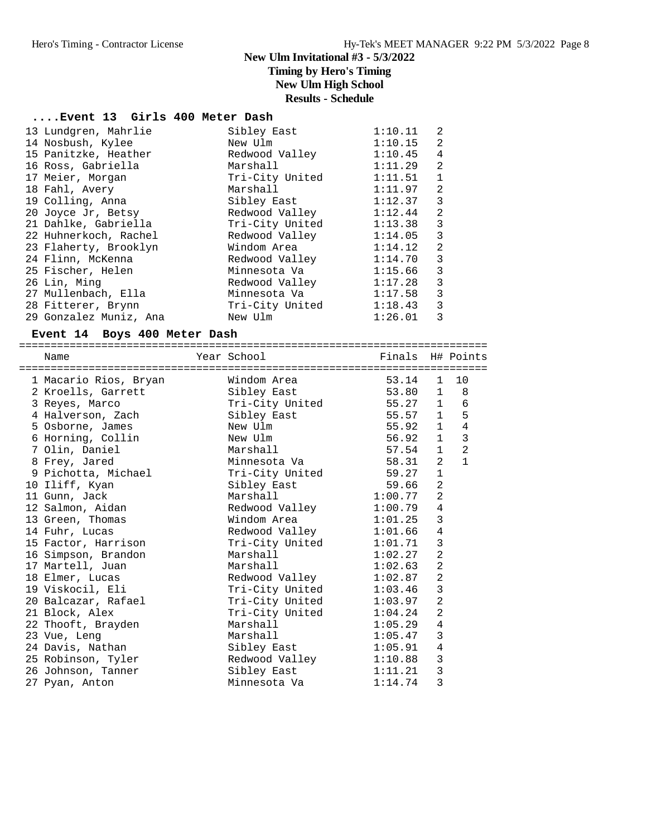## **New Ulm Invitational #3 - 5/3/2022 Timing by Hero's Timing New Ulm High School Results - Schedule**

## **....Event 13 Girls 400 Meter Dash**

| 13 Lundgren, Mahrlie   | Sibley East     | 1:10.11 | 2            |
|------------------------|-----------------|---------|--------------|
| 14 Nosbush, Kylee      | New Ulm         | 1:10.15 | 2            |
| 15 Panitzke, Heather   | Redwood Valley  | 1:10.45 | 4            |
| 16 Ross, Gabriella     | Marshall        | 1:11.29 | 2            |
| 17 Meier, Morgan       | Tri-City United | 1:11.51 | $\mathbf{1}$ |
| 18 Fahl, Avery         | Marshall        | 1:11.97 | 2            |
| 19 Colling, Anna       | Sibley East     | 1:12.37 | 3            |
| 20 Joyce Jr, Betsy     | Redwood Valley  | 1:12.44 | 2            |
| 21 Dahlke, Gabriella   | Tri-City United | 1:13.38 | 3            |
| 22 Huhnerkoch, Rachel  | Redwood Valley  | 1:14.05 | 3            |
| 23 Flaherty, Brooklyn  | Windom Area     | 1:14.12 | 2            |
| 24 Flinn, McKenna      | Redwood Valley  | 1:14.70 | 3            |
| 25 Fischer, Helen      | Minnesota Va    | 1:15.66 | 3            |
| 26 Lin, Ming           | Redwood Valley  | 1:17.28 | 3            |
| 27 Mullenbach, Ella    | Minnesota Va    | 1:17.58 | 3            |
| 28 Fitterer, Brynn     | Tri-City United | 1:18.43 | 3            |
| 29 Gonzalez Muniz, Ana | New Ulm         | 1:26.01 | 3            |

## **Event 14 Boys 400 Meter Dash**

==========================================================================

| Name                                                            | Year School                                    | Finals H# Points |                |                |
|-----------------------------------------------------------------|------------------------------------------------|------------------|----------------|----------------|
| ======================================<br>1 Macario Rios, Bryan | ===============================<br>Windom Area | 53.14            | $\mathbf{1}$   | 10             |
| 2 Kroells, Garrett                                              | Sibley East                                    | 53.80            | $\mathbf{1}$   | 8              |
| 3 Reyes, Marco                                                  | Tri-City United 55.27 1                        |                  |                | 6              |
| 4 Halverson, Zach                                               | Sibley East                                    | 55.57 1          |                | 5              |
| 5 Osborne, James                                                | New Ulm                                        | 55.92            | $\mathbf{1}$   | $\overline{4}$ |
| 6 Horning, Collin                                               | New Ulm                                        | 56.92            | $\mathbf{1}$   | $\overline{3}$ |
| 7 Olin, Daniel                                                  | Marshall                                       | 57.54            | $\mathbf{1}$   | $\overline{2}$ |
| 8 Frey, Jared                                                   | Minnesota Va                                   | 58.31            | 2              | $\mathbf{1}$   |
| 9 Pichotta, Michael                                             | Tri-City United                                | 59.27            | $\mathbf{1}$   |                |
| 10 Iliff, Kyan                                                  | Sibley East                                    | 59.66            | 2              |                |
| 11 Gunn, Jack                                                   | Marshall                                       | 1:00.77          | $\overline{2}$ |                |
| 12 Salmon, Aidan                                                | Redwood Valley                                 | 1:00.79          | $\overline{4}$ |                |
| 13 Green, Thomas                                                | Windom Area                                    | $1:01$ .25       | 3              |                |
| 14 Fuhr, Lucas                                                  | Redwood Valley                                 | 1:01.66          | $\sqrt{4}$     |                |
| 15 Factor, Harrison                                             | Tri-City United 1:01.71                        |                  | $\overline{3}$ |                |
| 16 Simpson, Brandon                                             | Marshall                                       | 1:02.27          | $\overline{a}$ |                |
| 17 Martell, Juan                                                | Marshall                                       | 1:02.63          | $\overline{2}$ |                |
| 18 Elmer, Lucas                                                 | Redwood Valley                                 | 1:02.87          | $\overline{2}$ |                |
| 19 Viskocil, Eli                                                | Tri-City United                                | 1:03.46          | $\mathsf 3$    |                |
| 20 Balcazar, Rafael                                             | Tri-City United 1:03.97                        |                  | $\overline{2}$ |                |
| 21 Block, Alex                                                  | Tri-City United                                | 1:04.24          | 2              |                |
| 22 Thooft, Brayden                                              | Marshall                                       | 1:05.29          | $\overline{4}$ |                |
| 23 Vue, Leng                                                    | Marshall                                       | $1:05$ .47       | 3              |                |
| 24 Davis, Nathan                                                | Sibley East                                    | 1:05.91          | $\overline{4}$ |                |
| 25 Robinson, Tyler                                              | Redwood Valley                                 | 1:10.88          | $\mathbf{3}$   |                |
| 26 Johnson, Tanner                                              | Sibley East                                    | 1:11.21          | $\mathbf{3}$   |                |
| 27 Pyan, Anton                                                  | Minnesota Va                                   | 1:14.74          | 3              |                |
|                                                                 |                                                |                  |                |                |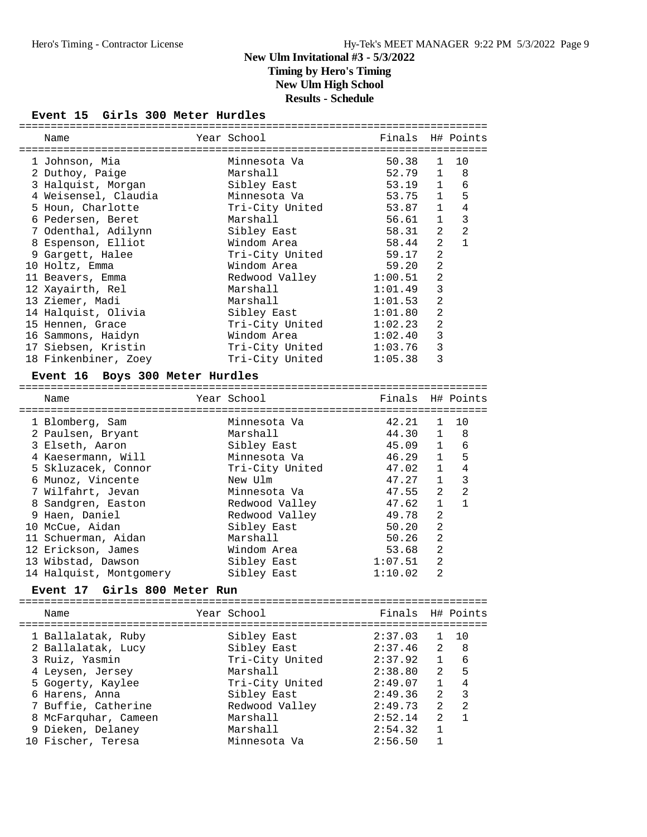## **New Ulm Invitational #3 - 5/3/2022 Timing by Hero's Timing New Ulm High School**

**Results - Schedule**

## **Event 15 Girls 300 Meter Hurdles**

| Name                            | Year School     | Finals           |                | H# Points      |
|---------------------------------|-----------------|------------------|----------------|----------------|
|                                 |                 |                  |                |                |
| 1 Johnson, Mia                  | Minnesota Va    | 50.38            | 1              | 10             |
| 2 Duthoy, Paige                 | Marshall        | 52.79            | $\mathbf{1}$   | 8              |
| 3 Halquist, Morgan              | Sibley East     | 53.19            | $\mathbf{1}$   | 6              |
| 4 Weisensel, Claudia            | Minnesota Va    | 53.75            | $\mathbf{1}$   | 5              |
| 5 Houn, Charlotte               | Tri-City United | 53.87            | $\mathbf{1}$   | 4              |
| 6 Pedersen, Beret               | Marshall        | 56.61            | $\mathbf{1}$   | 3              |
| 7 Odenthal, Adilynn             | Sibley East     | 58.31            | $\overline{2}$ | 2              |
| 8 Espenson, Elliot              | Windom Area     | 58.44            | 2              | $\mathbf{1}$   |
| 9 Gargett, Halee                | Tri-City United | 59.17            | $\overline{2}$ |                |
| 10 Holtz, Emma                  | Windom Area     | 59.20            | $\overline{2}$ |                |
| 11 Beavers, Emma                | Redwood Valley  | 1:00.51          | 2              |                |
| 12 Xayairth, Rel                | Marshall        | 1:01.49          | 3              |                |
| 13 Ziemer, Madi                 | Marshall        | 1:01.53          | $\overline{2}$ |                |
| 14 Halquist, Olivia             | Sibley East     | 1:01.80          | $\overline{2}$ |                |
| 15 Hennen, Grace                | Tri-City United | 1:02.23          | $\overline{2}$ |                |
| 16 Sammons, Haidyn              | Windom Area     | 1:02.40          | 3              |                |
| 17 Siebsen, Kristin             | Tri-City United | 1:03.76          | 3              |                |
| 18 Finkenbiner, Zoey            | Tri-City United | 1:05.38          | 3              |                |
|                                 |                 |                  |                |                |
| Event 16 Boys 300 Meter Hurdles |                 |                  |                |                |
|                                 | Year School     | Finals H# Points |                |                |
| Name                            |                 |                  |                |                |
| 1 Blomberg, Sam                 | Minnesota Va    | 42.21            | $\mathbf{1}$   | 10             |
| 2 Paulsen, Bryant               | Marshall        | 44.30            | $\mathbf{1}$   | 8              |
| 3 Elseth, Aaron                 | Sibley East     | 45.09            | $\mathbf{1}$   | 6              |
| 4 Kaesermann, Will              | Minnesota Va    | 46.29            | $\mathbf{1}$   | 5              |
| 5 Skluzacek, Connor             | Tri-City United | 47.02            | $\mathbf{1}$   | 4              |
| 6 Munoz, Vincente               | New Ulm         | 47.27            | $\mathbf{1}$   | 3              |
| 7 Wilfahrt, Jevan               | Minnesota Va    | 47.55            | $\overline{2}$ | $\overline{a}$ |
|                                 |                 |                  | 1              | $\mathbf{1}$   |
| 8 Sandgren, Easton              | Redwood Valley  | 47.62            | $\overline{2}$ |                |
| 9 Haen, Daniel                  | Redwood Valley  | 49.78            |                |                |
| 10 McCue, Aidan                 | Sibley East     | 50.20            | $\overline{2}$ |                |
| 11 Schuerman, Aidan             | Marshall        | 50.26            | 2              |                |
| 12 Erickson, James              | Windom Area     | 53.68            | 2              |                |
| 13 Wibstad, Dawson              | Sibley East     | 1:07.51          | 2              |                |
| 14 Halquist, Montgomery         | Sibley East     | 1:10.02          | 2              |                |
| Event 17 Girls 800 Meter Run    |                 |                  |                |                |
|                                 |                 |                  |                |                |
| Name                            | Year School     | Finals           |                | H# Points      |
|                                 |                 |                  |                |                |
| 1 Ballalatak, Ruby              | Sibley East     | 2:37.03          | 1              | 10             |
| 2 Ballalatak, Lucy              | Sibley East     | 2:37.46          | $\overline{2}$ | 8              |
| 3 Ruiz, Yasmin                  | Tri-City United | 2:37.92          | $\mathbf{1}$   | 6              |
| 4 Leysen, Jersey                | Marshall        | 2:38.80          | 2              | 5              |
| 5 Gogerty, Kaylee               | Tri-City United | 2:49.07          | $\mathbf{1}$   | 4              |
| 6 Harens, Anna                  | Sibley East     | 2:49.36          | 2              | 3              |
| 7 Buffie, Catherine             | Redwood Valley  | 2:49.73          | $\overline{2}$ | $\overline{2}$ |
| 8 McFarquhar, Cameen            | Marshall        | 2:52.14          | $\overline{2}$ | $\mathbf{1}$   |
| 9 Dieken, Delaney               | Marshall        | 2:54.32          | $\mathbf{1}$   |                |
| 10 Fischer, Teresa              | Minnesota Va    | 2:56.50          | $\mathbf{1}$   |                |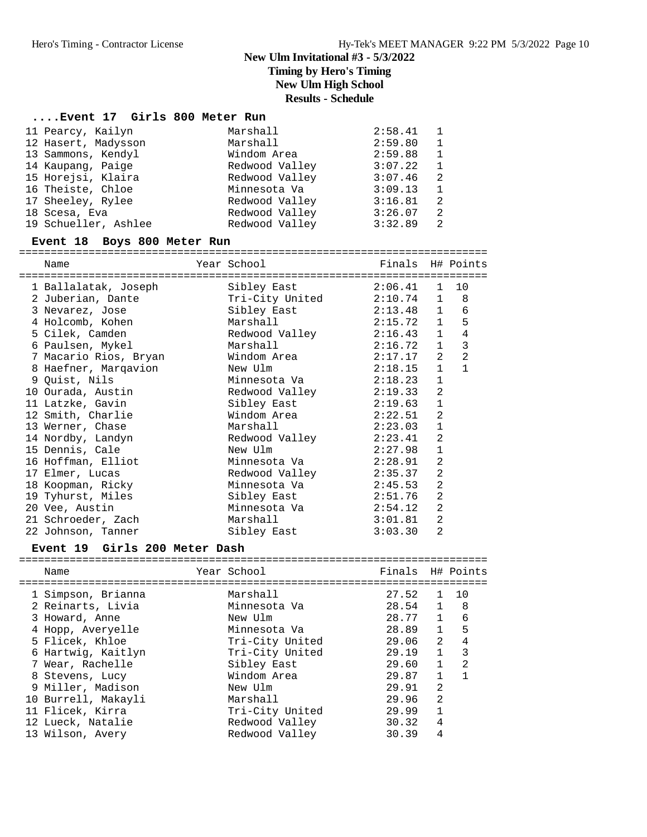**New Ulm High School**

**Results - Schedule**

#### **....Event 17 Girls 800 Meter Run**

| 11 Pearcy, Kailyn    | Marshall       | 2:58.41 | 1              |
|----------------------|----------------|---------|----------------|
| 12 Hasert, Madysson  | Marshall       | 2:59.80 | 1              |
| 13 Sammons, Kendyl   | Windom Area    | 2:59.88 | 1              |
| 14 Kaupang, Paige    | Redwood Valley | 3:07.22 | 1              |
| 15 Horejsi, Klaira   | Redwood Valley | 3:07.46 | $\overline{2}$ |
| 16 Theiste, Chloe    | Minnesota Va   | 3:09.13 | 1              |
| 17 Sheeley, Rylee    | Redwood Valley | 3:16.81 | -2             |
| 18 Scesa, Eva        | Redwood Valley | 3:26.07 | $\overline{2}$ |
| 19 Schueller, Ashlee | Redwood Valley | 3:32.89 | 2              |

#### **Event 18 Boys 800 Meter Run**

==========================================================================

| Name                                     | Year School                                      | Finals        |                | H# Points      |
|------------------------------------------|--------------------------------------------------|---------------|----------------|----------------|
| ================<br>1 Ballalatak, Joseph | =========================<br>Sibley East 2:06.41 |               | 1              | 10             |
| 2 Juberian, Dante                        | Tri-City United                                  | $2:10.74$ 1 8 |                |                |
| 3 Nevarez, Jose                          | Sibley East                                      | $2:13.48$ 1 6 |                |                |
| 4 Holcomb, Kohen                         | Marshall <b>Marshall</b>                         | $2:15.72$ 1 5 |                |                |
| 5 Cilek, Camden                          | Redwood Valley                                   | 2:16.43 1     |                | 4              |
| 6 Paulsen, Mykel                         | Marshall                                         | 2:16.72       | $\mathbf{1}$   | $\overline{3}$ |
| 7 Macario Rios, Bryan                    | Windom Area                                      | 2:17.17       | $\overline{2}$ | $\overline{a}$ |
| 8 Haefner, Margavion                     | New Ulm                                          | 2:18.15       | $\mathbf{1}$   | $\mathbf{1}$   |
| 9 Quist, Nils                            | Minnesota Va                                     | 2:18.23       | $\mathbf{1}$   |                |
| 10 Ourada, Austin                        | Redwood Valley                                   | 2:19.33       | 2              |                |
| 11 Latzke, Gavin                         | Sibley East                                      | 2:19.63       | $\mathbf{1}$   |                |
| 12 Smith, Charlie                        | Windom Area                                      | 2:22.51       | $\overline{2}$ |                |
| 13 Werner, Chase                         | Marshall                                         | 2:23.03       | $\mathbf{1}$   |                |
| 14 Nordby, Landyn                        | Redwood Valley                                   | 2:23.41       | 2              |                |
| 15 Dennis, Cale                          | New Ulm                                          | 2:27.98       | $\mathbf 1$    |                |
| 16 Hoffman, Elliot                       | Minnesota Va                                     | 2:28.91       | 2              |                |
| 17 Elmer, Lucas                          | Redwood Valley                                   | 2:35.37       | 2              |                |
| 18 Koopman, Ricky                        | Minnesota Va                                     | 2:45.53       | 2              |                |
| 19 Tyhurst, Miles                        | Sibley East                                      | 2:51.76       | 2              |                |
| 20 Vee, Austin                           | Minnesota Va                                     | 2:54.12       | 2              |                |
| 21 Schroeder, Zach                       | Marshall                                         | 3:01.81       | 2              |                |
| 22 Johnson, Tanner                       | Sibley East                                      | 3:03.30       | $\overline{2}$ |                |

#### **Event 19 Girls 200 Meter Dash**

========================================================================== Name Year School Finals H# Points ========================================================================== 1 Simpson, Brianna Marshall 27.52 1 10 2 Reinarts, Livia Minnesota Va 28.54 1 8 3 Howard, Anne New Ulm 28.77 1 6 4 Hopp, Averyelle Minnesota Va 28.89 1 5 5 Flicek, Khloe Tri-City United 29.06 2 4 6 Hartwig, Kaitlyn Tri-City United 29.19 1 3 7 Wear, Rachelle Sibley East 29.60 1 2 8 Stevens, Lucy Windom Area 29.87 1 1 9 Miller, Madison New Ulm 29.91 2 10 Burrell, Makayli Marshall 29.96 2 11 Flicek, Kirra Tri-City United 29.99 1 12 Lueck, Natalie Redwood Valley 30.32 4 13 Wilson, Avery Redwood Valley 30.39 4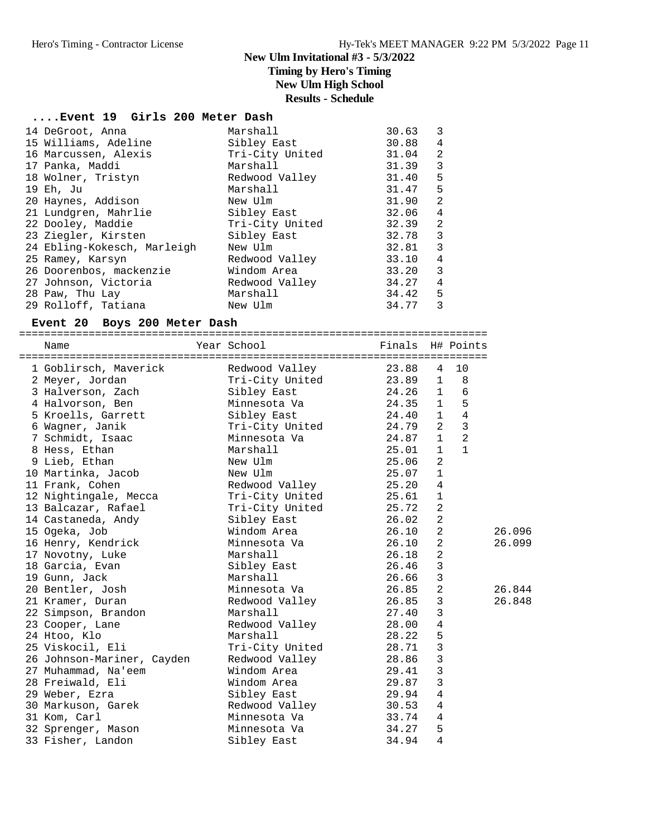# **New Ulm High School**

**Results - Schedule**

## **....Event 19 Girls 200 Meter Dash**

| 14 DeGroot, Anna            | Marshall        | 30.63 | 3              |
|-----------------------------|-----------------|-------|----------------|
| 15 Williams, Adeline        | Sibley East     | 30.88 | 4              |
| 16 Marcussen, Alexis        | Tri-City United | 31.04 | 2              |
| 17 Panka, Maddi             | Marshall        | 31.39 | 3              |
| 18 Wolner, Tristyn          | Redwood Valley  | 31.40 | 5              |
| 19 Eh, Ju                   | Marshall        | 31.47 | 5              |
| 20 Haynes, Addison          | New Ulm         | 31.90 | 2              |
| 21 Lundgren, Mahrlie        | Sibley East     | 32.06 | 4              |
| 22 Dooley, Maddie           | Tri-City United | 32.39 | $\mathfrak{D}$ |
| 23 Ziegler, Kirsten         | Sibley East     | 32.78 | 3              |
| 24 Ebling-Kokesch, Marleigh | New Ulm         | 32.81 | 3              |
| 25 Ramey, Karsyn            | Redwood Valley  | 33.10 | 4              |
| 26 Doorenbos, mackenzie     | Windom Area     | 33.20 | 3              |
| 27 Johnson, Victoria        | Redwood Valley  | 34.27 | 4              |
| 28 Paw, Thu Lay             | Marshall        | 34.42 | 5              |
| 29 Rolloff, Tatiana         | New Ulm         | 34.77 | 3              |

## **Event 20 Boys 200 Meter Dash**

==========================================================================

| Name                       | Year School     | Finals |                | H# Points      |        |
|----------------------------|-----------------|--------|----------------|----------------|--------|
| 1 Goblirsch, Maverick      | Redwood Valley  | 23.88  | 4              | 10             |        |
| 2 Meyer, Jordan            | Tri-City United | 23.89  | $\mathbf 1$    | 8              |        |
| 3 Halverson, Zach          | Sibley East     | 24.26  | $\mathbf{1}$   | 6              |        |
| 4 Halvorson, Ben           | Minnesota Va    | 24.35  | $\mathbf{1}$   | 5              |        |
| 5 Kroells, Garrett         | Sibley East     | 24.40  | $\mathbf{1}$   | $\overline{4}$ |        |
| 6 Wagner, Janik            | Tri-City United | 24.79  | 2              | $\overline{3}$ |        |
| 7 Schmidt, Isaac           | Minnesota Va    | 24.87  | $\mathbf{1}$   | $\overline{2}$ |        |
| 8 Hess, Ethan              | Marshall        | 25.01  | $\mathbf{1}$   | $\mathbf{1}$   |        |
| 9 Lieb, Ethan              | New Ulm         | 25.06  | $\overline{2}$ |                |        |
| 10 Martinka, Jacob         | New Ulm         | 25.07  | $\mathbf{1}$   |                |        |
| 11 Frank, Cohen            | Redwood Valley  | 25.20  | $\overline{4}$ |                |        |
| 12 Nightingale, Mecca      | Tri-City United | 25.61  | $\mathbf 1$    |                |        |
| 13 Balcazar, Rafael        | Tri-City United | 25.72  | $\overline{a}$ |                |        |
| 14 Castaneda, Andy         | Sibley East     | 26.02  | $\overline{a}$ |                |        |
| 15 Ogeka, Job              | Windom Area     | 26.10  | $\overline{a}$ |                | 26.096 |
| 16 Henry, Kendrick         | Minnesota Va    | 26.10  | 2              |                | 26.099 |
| 17 Novotny, Luke           | Marshall        | 26.18  | $\overline{a}$ |                |        |
| 18 Garcia, Evan            | Sibley East     | 26.46  | 3              |                |        |
| 19 Gunn, Jack              | Marshall        | 26.66  | $\overline{3}$ |                |        |
| 20 Bentler, Josh           | Minnesota Va    | 26.85  | $\overline{2}$ |                | 26.844 |
| 21 Kramer, Duran           | Redwood Valley  | 26.85  | 3              |                | 26.848 |
| 22 Simpson, Brandon        | Marshall        | 27.40  | 3              |                |        |
| 23 Cooper, Lane            | Redwood Valley  | 28.00  | $\overline{4}$ |                |        |
| 24 Htoo, Klo               | Marshall        | 28.22  | 5              |                |        |
| 25 Viskocil, Eli           | Tri-City United | 28.71  | 3              |                |        |
| 26 Johnson-Mariner, Cayden | Redwood Valley  | 28.86  | 3              |                |        |
| 27 Muhammad, Na'eem        | Windom Area     | 29.41  | 3              |                |        |
| 28 Freiwald, Eli           | Windom Area     | 29.87  | 3              |                |        |
| 29 Weber, Ezra             | Sibley East     | 29.94  | $\overline{4}$ |                |        |
| 30 Markuson, Garek         | Redwood Valley  | 30.53  | $\overline{4}$ |                |        |
| 31 Kom, Carl               | Minnesota Va    | 33.74  | $\overline{4}$ |                |        |
| 32 Sprenger, Mason         | Minnesota Va    | 34.27  | 5              |                |        |
| 33 Fisher, Landon          | Sibley East     | 34.94  | 4              |                |        |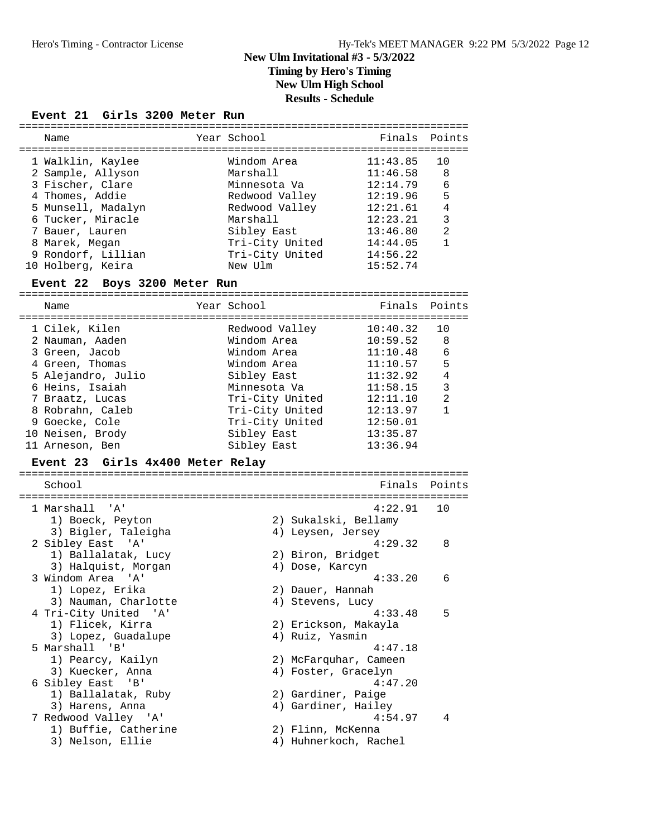**New Ulm High School**

**Results - Schedule**

#### **Event 21 Girls 3200 Meter Run**

| Name               | Year School     | Finals Points |                |
|--------------------|-----------------|---------------|----------------|
| 1 Walklin, Kaylee  | Windom Area     | 11:43.85      | 10             |
| 2 Sample, Allyson  | Marshall        | 11:46.58      | - 8            |
| 3 Fischer, Clare   | Minnesota Va    | 12:14.79      | 6              |
| 4 Thomes, Addie    | Redwood Valley  | 12:19.96      | 5              |
| 5 Munsell, Madalyn | Redwood Valley  | 12:21.61      | 4              |
| 6 Tucker, Miracle  | Marshall        | 12:23.21      | $\mathcal{R}$  |
| 7 Bauer, Lauren    | Sibley East     | 13:46.80      | $\mathfrak{D}$ |
| 8 Marek, Megan     | Tri-City United | 14:44.05      | 1              |
| 9 Rondorf, Lillian | Tri-City United | 14:56.22      |                |
| 10 Holberg, Keira  | New Ulm         | 15:52.74      |                |

#### **Event 22 Boys 3200 Meter Run**

======================================================================= Name The Year School Control of Finals Points ======================================================================= 1 Cilek, Kilen Redwood Valley 10:40.32 10 2 Nauman, Aaden Windom Area 10:59.52 8 3 Green, Jacob Windom Area 11:10.48 6 4 Green, Thomas Windom Area 11:10.57 5 5 Alejandro, Julio Sibley East 11:32.92 4 6 Heins, Isaiah Minnesota Va 11:58.15 3 7 Braatz, Lucas Tri-City United 12:11.10 2 8 Robrahn, Caleb Tri-City United 12:13.97 1 9 Goecke, Cole Tri-City United 12:50.01 10 Neisen, Brody Sibley East 13:35.87 11 Arneson, Ben Sibley East 13:36.94

#### **Event 23 Girls 4x400 Meter Relay**

======================================================================= School **Finals Points** ======================================================================= 1 Marshall 'A' 4:22.91 10 1) Boeck, Peyton 2) Sukalski, Bellamy 3) Bigler, Taleigha 4) Leysen, Jersey 2 Sibley East 'A' 4:29.32 8 1) Ballalatak, Lucy 2) Biron, Bridget 3) Halquist, Morgan (4) Dose, Karcyn 3 Windom Area 'A' 4:33.20 6 1) Lopez, Erika 2) Dauer, Hannah 3) Nauman, Charlotte (4) Stevens, Lucy 4 Tri-City United 'A' 4:33.48 5 1) Flicek, Kirra 2) Erickson, Makayla 3) Lopez, Guadalupe (4) Ruiz, Yasmin 5 Marshall 'B' 4:47.18 1) Pearcy, Kailyn 2) McFarquhar, Cameen 3) Kuecker, Anna (1988) 4) Foster, Gracelyn 6 Sibley East 'B' 4:47.20 1) Ballalatak, Ruby 1988 (2018) Cardiner, Paige 3) Harens, Anna (1988) (1988) 4 Gardiner, Hailey 7 Redwood Valley 'A' 4:54.97 4 1) Buffie, Catherine (2) Flinn, McKenna 3) Nelson, Ellie 4) Huhnerkoch, Rachel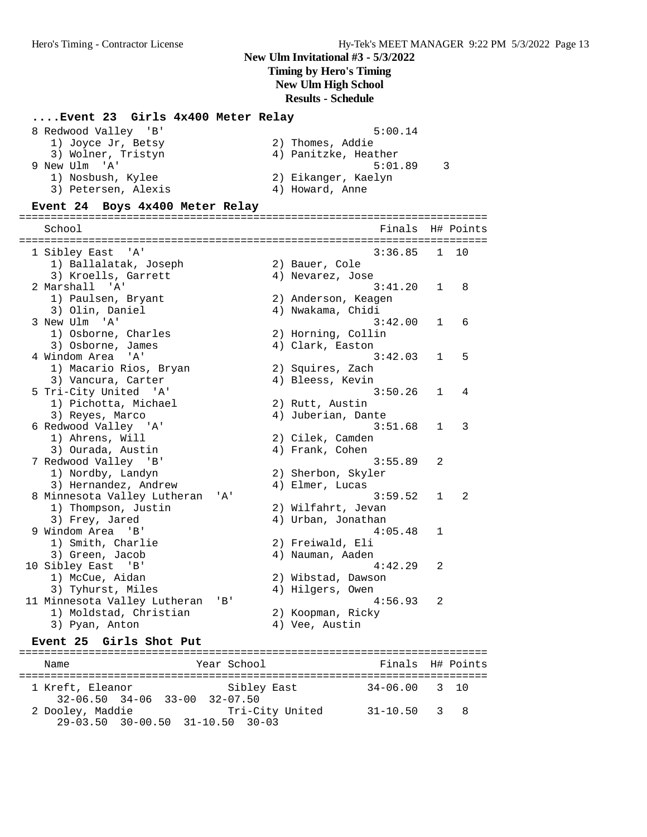## **Timing by Hero's Timing**

**New Ulm High School**

#### **Results - Schedule**

#### **....Event 23 Girls 4x400 Meter Relay**

| 8 Redwood Valley 'B' | 5:00.14              |
|----------------------|----------------------|
| 1) Joyce Jr, Betsy   | 2) Thomes, Addie     |
| 3) Wolner, Tristyn   | 4) Panitzke, Heather |
| 9 New Ulm 'A'        | 5:01.89<br>- 3       |
| 1) Nosbush, Kylee    | 2) Eikanger, Kaelyn  |
| 3) Petersen, Alexis  | 4) Howard, Anne      |

#### **Event 24 Boys 4x400 Meter Relay**

========================================================================== School **Finals** H# Points ========================================================================== 1 Sibley East 'A' 3:36.85 1 10 1) Ballalatak, Joseph 2) Bauer, Cole 3) Kroells, Garrett (4) Nevarez, Jose 2 Marshall 'A' 3:41.20 1 8 1) Paulsen, Bryant 2) Anderson, Keagen 3) Olin, Daniel 4) Nwakama, Chidi 3 New Ulm 'A' 3:42.00 1 6 1) Osborne, Charles 2) Horning, Collin 3) Osborne, James (4) Clark, Easton 4 Windom Area 'A' 3:42.03 1 5 1) Macario Rios, Bryan 2) Squires, Zach 3) Vancura, Carter (4) Bleess, Kevin 5 Tri-City United 'A' 3:50.26 1 4 1) Pichotta, Michael 2) Rutt, Austin 3) Reyes, Marco 4) Juberian, Dante 6 Redwood Valley 'A' 3:51.68 1 3 1) Ahrens, Will 2) Cilek, Camden 1) Ahrens, Will (2) Cilek, Camden<br>3) Ourada, Austin (4) Frank, Cohen 7 Redwood Valley 'B' 3:55.89 2<br>1) Nordby, Landyn 2) Sherbon, Skyler 1) Nordby, Landyn 2) Sherbon, Skyler 3) Hernandez, Andrew (4) Elmer, Lucas 8 Minnesota Valley Lutheran 'A' 3:59.52 1 2<br>1) Thompson, Justin 2) Wilfahrt, Jevan 1) Thompson, Justin 3) Frey, Jared 4) Urban, Jonathan 9 Windom Area 'B' 4:05.48 1 1) Smith, Charlie 2) Freiwald, Eli 3) Green, Jacob 4) Nauman, Aaden 10 Sibley East 'B' 4:42.29 2 1) McCue, Aidan 2) Wibstad, Dawson 3) Tyhurst, Miles (4) Hilgers, Owen 11 Minnesota Valley Lutheran 'B' 4:56.93 2<br>1) Moldstad, Christian 2) Koopman, Ricky 1) Moldstad, Christian 3) Pyan, Anton 4) Vee, Austin **Event 25 Girls Shot Put** ========================================================================== Name The Year School The Finals H# Points

# ========================================================================== 1 Kreft, Eleanor Sibley East 34-06.00 3 10

| 32-06.50 34-06 33-00 32-07.50    |  |  |                 |              |  |
|----------------------------------|--|--|-----------------|--------------|--|
| 2 Dooley, Maddie                 |  |  | Tri-City United | 31-10.50 3 8 |  |
| 29-03.50 30-00.50 31-10.50 30-03 |  |  |                 |              |  |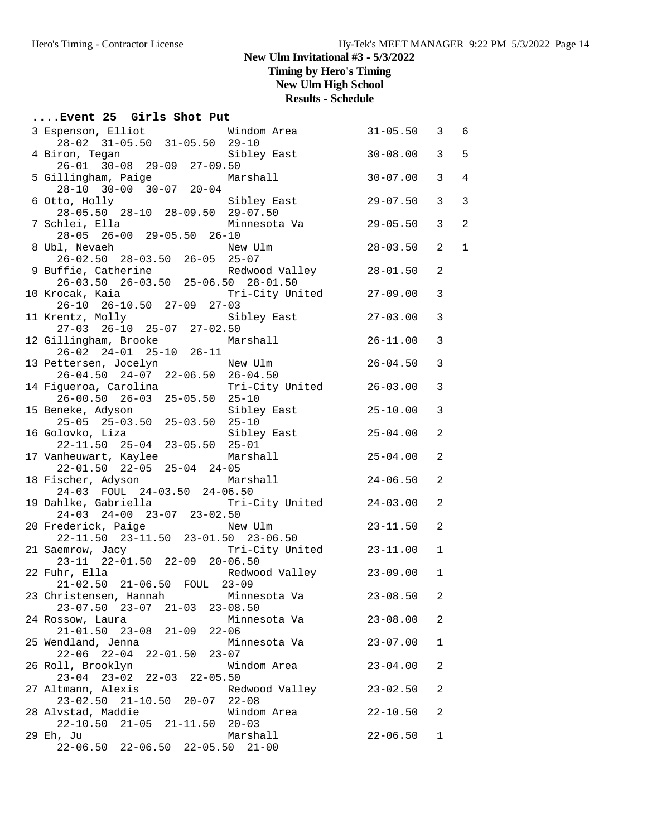**Timing by Hero's Timing**

**New Ulm High School**

**Results - Schedule**

## **....Event 25 Girls Shot Put**

| 3 Espenson, Elliot <b>Windom Area</b> 31-05.50 3<br>28-02 31-05.50 31-05.50 29-10                                                                               |                           |              |              | 6              |
|-----------------------------------------------------------------------------------------------------------------------------------------------------------------|---------------------------|--------------|--------------|----------------|
|                                                                                                                                                                 |                           |              | $\mathbf{3}$ | 5              |
| 4 Biron, Tegan 5ibley East 30-08.00<br>26-01 30-08 29-09 27-09.50                                                                                               |                           |              |              |                |
| 5 Gillingham, Paige Marshall 30-07.00<br>28-10 30-00 30-07 20-04                                                                                                |                           |              | $\mathbf{3}$ | $\overline{4}$ |
|                                                                                                                                                                 |                           |              | 3            | 3              |
|                                                                                                                                                                 |                           |              |              |                |
| 7 Schlei, Ella                                                                                                                                                  | Minnesota Va and 29-05.50 |              | $\mathbf{3}$ | 2              |
| $28-05$ $26-00$ $29-05.50$ $26-10$<br>8 Ubl, Nevaeh                                                                                                             | $28 - 03.50$<br>New Ulm   |              | 2            | $\mathbf{1}$   |
|                                                                                                                                                                 |                           |              |              |                |
| 26-02.50 28-03.50 26-05 25-07<br>9 Buffie, Catherine Redwood Valley 28-01.50<br>26-03.50 26-03.50 25-06.50 28-01.50<br>10 Krocak, Kaia Tri-City United 27-09.00 |                           |              | 2            |                |
|                                                                                                                                                                 |                           |              |              |                |
| 26-10 26-10.50 27-09 27-03                                                                                                                                      |                           |              | 3            |                |
|                                                                                                                                                                 |                           |              | 3            |                |
| 11 Krentz, Molly Sibley East 27-03.00<br>27-03 26-10 25-07 27-02.50                                                                                             |                           |              |              |                |
| 12 Gillingham, Brooke Marshall 26-11.00<br>26-02 24-01 25-10 26-11                                                                                              |                           |              | 3            |                |
|                                                                                                                                                                 |                           |              |              |                |
| 13 Pettersen, Jocelyn New Ulm 26-04.50<br>$26-04.50$ $24-07$ $22-06.50$ $26-04.50$                                                                              |                           |              | 3            |                |
|                                                                                                                                                                 |                           |              | 3            |                |
| 14 Figueroa, Carolina<br>26-00.50 26-03 25-05.50 25-10<br>15 Beneke, Adyson Sibley East 25-10.00                                                                |                           |              |              |                |
|                                                                                                                                                                 |                           |              | 3            |                |
| $25-05$ $25-03.50$ $25-03.50$ $25-10$<br>16 Golovko, Liza (5) Sibley East (5) 25-04.00                                                                          |                           |              | 2            |                |
| 22-11.50 25-04 23-05.50 25-01                                                                                                                                   |                           |              |              |                |
| 17 Vanheuwart, Kaylee Marshall 17 Vanheuwart, Kaylee                                                                                                            |                           |              | 2            |                |
| $22-01.50$ $22-05$ $25-04$ $24-05$                                                                                                                              |                           |              |              |                |
| 18 Fischer, Adyson Marshall 24-06.50<br>24-03 FOUL 24-03.50 24-06.50                                                                                            |                           |              | 2            |                |
| 19 Dahlke, Gabriella (19 Tri-City United 24-03.00                                                                                                               |                           |              | 2            |                |
| 24-03 24-00 23-07 23-02.50                                                                                                                                      |                           |              |              |                |
| 20 Frederick, Paige                                                                                                                                             | New Ulm                   | $23 - 11.50$ | 2            |                |
| 22-11.50 23-11.50 23-01.50 23-06.50                                                                                                                             |                           |              |              |                |
| 21 Saemrow, Jacy<br>$23-11$ $22-01.50$ $22-09$ $20-06.50$                                                                                                       | Tri-City United 23-11.00  |              | $\mathbf 1$  |                |
| 22 Fuhr, Ella           Redwood Valley         23-09.00                                                                                                         |                           |              | $\mathbf{1}$ |                |
| 21-02.50 21-06.50 FOUL 23-09                                                                                                                                    |                           |              |              |                |
| 23 Christensen, Hannah Minnesota Va 23-08.50                                                                                                                    |                           |              | 2            |                |
| 23-07.50 23-07 21-03 23-08.50<br>24 Rossow, Laura                                                                                                               | Minnesota Va              | $23 - 08.00$ | 2            |                |
| $21 - 01.50$ $23 - 08$ $21 - 09$                                                                                                                                | $22 - 06$                 |              |              |                |
| 25 Wendland, Jenna                                                                                                                                              | Minnesota Va              | $23 - 07.00$ | $\mathbf{1}$ |                |
| 22-06 22-04 22-01.50 23-07                                                                                                                                      |                           |              |              |                |
| 26 Roll, Brooklyn<br>23-04 23-02 22-03 22-05.50                                                                                                                 | Windom Area               | $23 - 04.00$ | 2            |                |
| 27 Altmann, Alexis                                                                                                                                              | Redwood Valley            | $23 - 02.50$ | 2            |                |
| 23-02.50 21-10.50 20-07 22-08                                                                                                                                   |                           |              |              |                |
| 28 Alvstad, Maddie                                                                                                                                              | Windom Area               | $22 - 10.50$ | 2            |                |
| $22 - 10.50$<br>21-05 21-11.50 20-03                                                                                                                            |                           |              |              |                |
| 29 Eh, Ju<br>22-06.50 22-06.50 22-05.50 21-00                                                                                                                   | Marshall                  | $22 - 06.50$ | 1            |                |
|                                                                                                                                                                 |                           |              |              |                |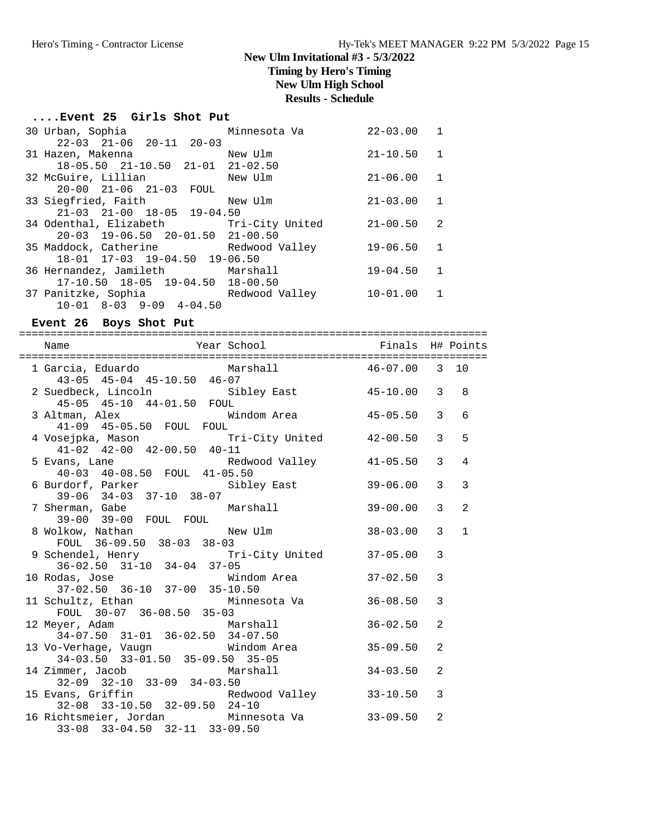**Timing by Hero's Timing New Ulm High School**

**Results - Schedule**

## **....Event 25 Girls Shot Put**

| 30 Urban, Sophia                             | Minnesota Va   | $22 - 03.00$ | $\mathbf{1}$   |
|----------------------------------------------|----------------|--------------|----------------|
| $22 - 03$ $21 - 06$ $20 - 11$ $20 - 03$      |                |              |                |
| 31 Hazen, Makenna                            | New Ulm        | $21 - 10.50$ | $\overline{1}$ |
| $18-05.50$ $21-10.50$ $21-01$ $21-02.50$     |                |              |                |
| 32 McGuire, Lillian                          | New Ulm        | $21 - 06.00$ | $\mathbf{1}$   |
| 20-00 21-06 21-03 FOUL                       |                |              |                |
| 33 Siegfried, Faith                          | New Ulm        | $21 - 03.00$ | $\mathbf{1}$   |
| $21-03$ $21-00$ $18-05$ $19-04.50$           |                |              |                |
| 34 Odenthal, Elizabeth Tri-City United       |                | $21 - 00.50$ | -2             |
| $20-03$ 19-06.50 20-01.50 21-00.50           |                |              |                |
| 35 Maddock, Catherine         Redwood Valley |                | $19 - 06.50$ | $\overline{1}$ |
| 18-01 17-03 19-04.50 19-06.50                |                |              |                |
| 36 Hernandez, Jamileth                       | Marshall       | $19 - 04.50$ | $\mathbf{1}$   |
| 17-10.50 18-05 19-04.50 18-00.50             |                |              |                |
| 37 Panitzke, Sophia                          | Redwood Valley | $10 - 01.00$ | -1             |
| $10-01$ $8-03$ $9-09$ $4-04.50$              |                |              |                |

## **Event 26 Boys Shot Put**

|                               |                                                                                                                                                                                                                                                                                                                                                                | 3                                                                                                                                                                                                                                                                                                                                                                                                                                       | 6                                                                                                                                                                                                                                                                                                                                                                                                |
|-------------------------------|----------------------------------------------------------------------------------------------------------------------------------------------------------------------------------------------------------------------------------------------------------------------------------------------------------------------------------------------------------------|-----------------------------------------------------------------------------------------------------------------------------------------------------------------------------------------------------------------------------------------------------------------------------------------------------------------------------------------------------------------------------------------------------------------------------------------|--------------------------------------------------------------------------------------------------------------------------------------------------------------------------------------------------------------------------------------------------------------------------------------------------------------------------------------------------------------------------------------------------|
|                               |                                                                                                                                                                                                                                                                                                                                                                | 3                                                                                                                                                                                                                                                                                                                                                                                                                                       | 5                                                                                                                                                                                                                                                                                                                                                                                                |
|                               |                                                                                                                                                                                                                                                                                                                                                                | $\overline{3}$                                                                                                                                                                                                                                                                                                                                                                                                                          | 4                                                                                                                                                                                                                                                                                                                                                                                                |
|                               |                                                                                                                                                                                                                                                                                                                                                                | $\overline{3}$                                                                                                                                                                                                                                                                                                                                                                                                                          | $\overline{3}$                                                                                                                                                                                                                                                                                                                                                                                   |
|                               |                                                                                                                                                                                                                                                                                                                                                                | $\overline{3}$                                                                                                                                                                                                                                                                                                                                                                                                                          | 2                                                                                                                                                                                                                                                                                                                                                                                                |
|                               |                                                                                                                                                                                                                                                                                                                                                                | 3                                                                                                                                                                                                                                                                                                                                                                                                                                       | $\mathbf{1}$                                                                                                                                                                                                                                                                                                                                                                                     |
|                               |                                                                                                                                                                                                                                                                                                                                                                | 3                                                                                                                                                                                                                                                                                                                                                                                                                                       |                                                                                                                                                                                                                                                                                                                                                                                                  |
|                               |                                                                                                                                                                                                                                                                                                                                                                | 3                                                                                                                                                                                                                                                                                                                                                                                                                                       |                                                                                                                                                                                                                                                                                                                                                                                                  |
|                               |                                                                                                                                                                                                                                                                                                                                                                | $\overline{3}$                                                                                                                                                                                                                                                                                                                                                                                                                          |                                                                                                                                                                                                                                                                                                                                                                                                  |
|                               |                                                                                                                                                                                                                                                                                                                                                                | 2                                                                                                                                                                                                                                                                                                                                                                                                                                       |                                                                                                                                                                                                                                                                                                                                                                                                  |
|                               |                                                                                                                                                                                                                                                                                                                                                                | $\mathfrak{D}$                                                                                                                                                                                                                                                                                                                                                                                                                          |                                                                                                                                                                                                                                                                                                                                                                                                  |
|                               |                                                                                                                                                                                                                                                                                                                                                                | 2                                                                                                                                                                                                                                                                                                                                                                                                                                       |                                                                                                                                                                                                                                                                                                                                                                                                  |
|                               |                                                                                                                                                                                                                                                                                                                                                                | 3                                                                                                                                                                                                                                                                                                                                                                                                                                       |                                                                                                                                                                                                                                                                                                                                                                                                  |
| 33-08 33-04.50 32-11 33-09.50 |                                                                                                                                                                                                                                                                                                                                                                | 2                                                                                                                                                                                                                                                                                                                                                                                                                                       |                                                                                                                                                                                                                                                                                                                                                                                                  |
|                               | 43-05 45-04 45-10.50 46-07<br>40-03 40-08.50 FOUL 41-05.50<br>39-00 39-00 FOUL FOUL<br>FOUL 36-09.50 38-03 38-03<br>FOUL 30-07 36-08.50 35-03<br>12 Meyer, Adam Marshall<br>34-07.50 31-01 36-02.50 34-07.50<br>$34-03.\overline{50}$ $33-01.50$ $35-09.50$ $35-05$<br>14 Zimmer, Jacob<br>$32-09$ $32-10$ $33-09$ $34-03.50$<br>32-08 33-10.50 32-09.50 24-10 | 3 Altman, Alex Mindom Area<br>41-09 45-05.50 FOUL FOUL<br>4 Vosejpka, Mason<br>41-02 42-00 42-00.50 40-11<br>7 Sherman, Gabe Marshall<br>8 Wolkow, Nathan New Ulm<br>9 Schendel, Henry Tri-City United<br>36-02.50 31-10 34-04 37-05<br>11 Schultz, Ethan             Minnesota Va<br>13 Vo-Verhage, Vaugn Mindom Area<br>Software Superior Control Marshall<br>15 Evans, Griffin Nedwood Valley<br>16 Richtsmeier, Jordan Minnesota Va | 1 Garcia, Eduardo       Marshall         46-07.00   3 10<br>2 Suedbeck, Lincoln Sibley East 45-10.00 3 8<br>45-05 45-10 44-01.50 FOUL<br>$45 - 05.50$<br>42-00.50<br>5 Evans, Lane 19 11 Redwood Valley 11-05.50<br>$39 - 06.00$<br>$39 - 00.00$<br>$38 - 03.00$<br>$37 - 05.00$<br>$37 - 02.50$<br>$36 - 08.50$<br>$36 - 02.50$<br>$35 - 09.50$<br>$34 - 03.50$<br>$33 - 10.50$<br>$33 - 09.50$ |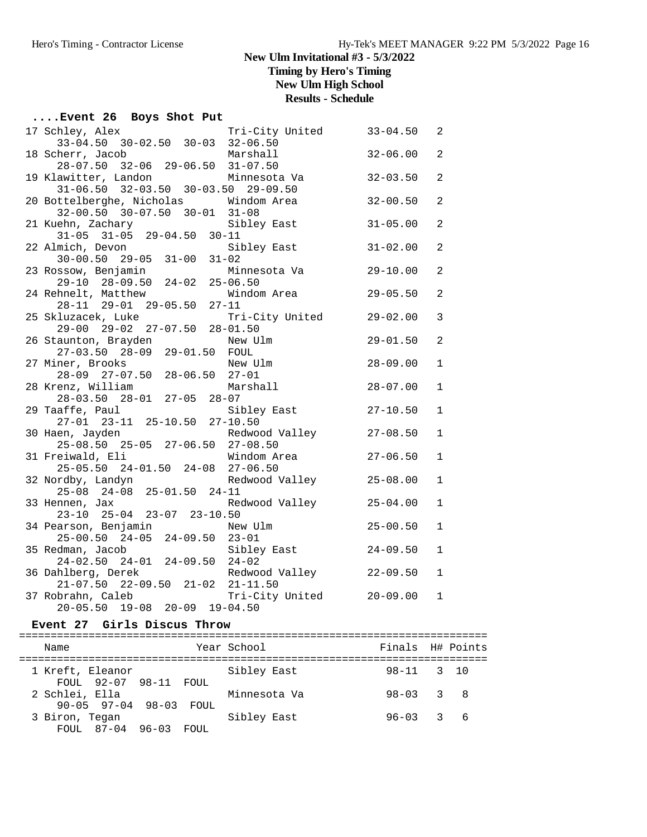**Timing by Hero's Timing New Ulm High School Results - Schedule**

#### **....Event 26 Boys Shot Put**

| 17 Schley, Alex                                             | Tri-City United          | $33 - 04.50$ | 2              |
|-------------------------------------------------------------|--------------------------|--------------|----------------|
| 33-04.50 30-02.50 30-03 32-06.50                            |                          |              |                |
| 18 Scherr, Jacob                                            | Marshall                 | $32 - 06.00$ | $\overline{2}$ |
| 28-07.50 32-06 29-06.50 31-07.50                            |                          |              |                |
| 19 Klawitter, Landon Minnesota Va                           |                          | $32 - 03.50$ | $\overline{2}$ |
| $31-06.50$ $32-03.50$ $30-03.50$ $29-09.50$                 |                          |              |                |
| 20 Bottelberghe, Nicholas Mindom Area                       |                          | $32 - 00.50$ | $\overline{2}$ |
| $32-00.50$ $30-07.50$ $30-01$ $31-08$                       |                          |              |                |
| 21 Kuehn, Zachary                                           | Sibley East              | $31 - 05.00$ | $\overline{2}$ |
| $31-05$ $31-05$ $29-04.50$ $30-11$                          |                          |              |                |
| 22 Almich, Devon                                            | Sibley East              | $31 - 02.00$ | 2              |
| $30 - 00.50$ $29 - 05$ $31 - 00$ $31 - 02$                  |                          |              |                |
| 23 Rossow, Benjamin Minnes<br>29-10 28-09.50 24-02 25-06.50 | Minnesota Va             | $29 - 10.00$ | $\overline{2}$ |
|                                                             |                          |              |                |
| 24 Rehnelt, Matthew                                         | Windom Area              | $29 - 05.50$ | $\overline{2}$ |
| 28-11 29-01 29-05.50 27-11                                  |                          |              |                |
| 25 Skluzacek, Luke                                          | Tri-City United          | $29 - 02.00$ | 3              |
| 29-00 29-02 27-07.50 28-01.50                               |                          |              |                |
| 26 Staunton, Brayden<br>27-03.50  28-09  29-01.50  FOUL     | New Ulm                  | $29 - 01.50$ | $\overline{2}$ |
|                                                             |                          | $28 - 09.00$ |                |
| 27 Miner, Brooks<br>28-09 27-07.50 28-06.50 27-01           | New Ulm                  |              | 1              |
| 28 Krenz, William                                           | Marshall                 | $28 - 07.00$ | $\mathbf 1$    |
| enz, William Ma:<br>28-03.50 28-01 27-05 28-07              |                          |              |                |
| 29 Taaffe, Paul                                             | Sibley East              | $27 - 10.50$ | $\mathbf{1}$   |
| 27-01 23-11 25-10.50 27-10.50                               |                          |              |                |
| 30 Haen, Jayden                                             | Redwood Valley 27-08.50  |              | 1              |
| 25-08.50 25-05 27-06.50 27-08.50                            |                          |              |                |
| 31 Freiwald, Eli                                            | Vindom Area              | $27 - 06.50$ | $\mathbf{1}$   |
| 25-05.50 24-01.50 24-08 27-06.50                            |                          |              |                |
| 32 Nordby, Landyn Nedwood Valley                            |                          | $25 - 08.00$ | $\mathbf{1}$   |
| 25-08 24-08 25-01.50 24-11                                  |                          |              |                |
| 33 Hennen, Jax                                              | Redwood Valley           | $25 - 04.00$ | $\mathbf 1$    |
| 23-10 25-04 23-07 23-10.50                                  |                          |              |                |
| 34 Pearson, Benjamin New Ulm                                |                          | $25 - 00.50$ | $\mathbf{1}$   |
| $25-00.50$ $24-05$ $24-09.50$ $23-01$                       |                          |              |                |
| 35 Redman, Jacob                                            | Sibley East              | $24 - 09.50$ | 1              |
| $24-02.50$ $24-01$ $24-09.50$ $24-02$                       |                          |              |                |
| 36 Dahlberg, Derek                                          | Redwood Valley 22-09.50  |              | $\mathbf{1}$   |
| 21-07.50 22-09.50 21-02 21-11.50                            |                          |              |                |
| 37 Robrahn, Caleb                                           | Tri-City United 20-09.00 |              | $\mathbf{1}$   |
| 20-05.50 19-08 20-09 19-04.50                               |                          |              |                |

#### **Event 27 Girls Discus Throw**

========================================================================== Name The Year School The Finals H# Points ========================================================================== 1 Kreft, Eleanor Sibley East 98-11 3 10 FOUL 92-07 98-11 FOUL 2 Schlei, Ella Minnesota Va 98-03 3 8 90-05 97-04 98-03 FOUL 3 Biron, Tegan Sibley East 96-03 3 6 FOUL 87-04 96-03 FOUL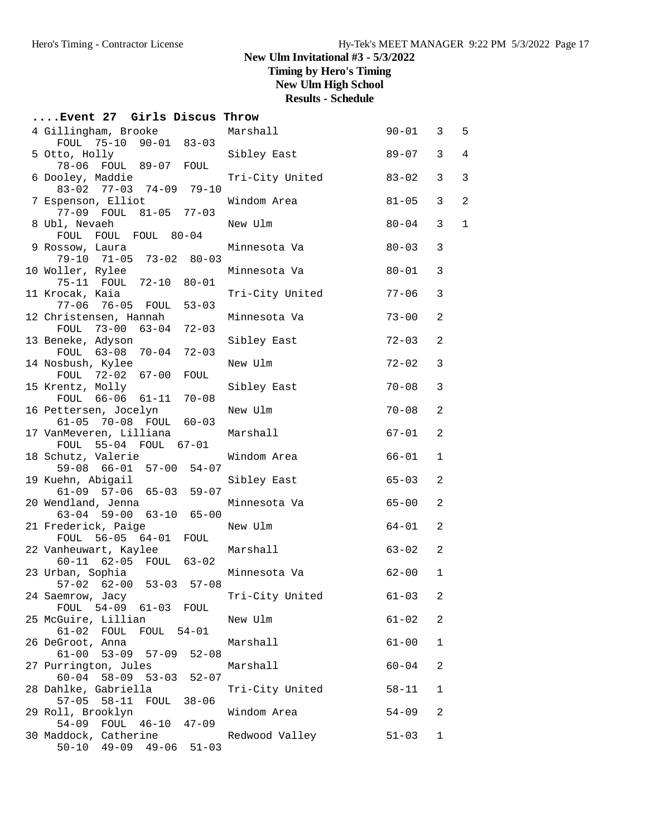**Timing by Hero's Timing**

**New Ulm High School**

**Results - Schedule**

| Event 27 Girls Discus Throw                                         |                           |             |                |                |
|---------------------------------------------------------------------|---------------------------|-------------|----------------|----------------|
| 4 Gillingham, Brooke<br>$90 - 01$ $83 - 03$<br>FOUL 75-10           | Marshall                  | $90 - 01$ 3 |                | 5              |
| 5 Otto, Holly<br>78-06 FOUL 89-07 FOUL                              | Sibley East               | $89 - 07$   | 3              | $\overline{4}$ |
| 6 Dooley, Maddie<br>83-02 77-03 74-09 79-10                         | Tri-City United           | $83 - 02$   | 3              | $\mathbf{3}$   |
| 7 Espenson, Elliot<br>77-09 FOUL 81-05 77-03                        | Windom Area               | $81 - 05$   | 3              | $\overline{2}$ |
| 8 Ubl, Nevaeh<br>FOUL FOUL FOUL 80-04                               | New Ulm                   | $80 - 04$   | 3              | $\mathbf{1}$   |
| 9 Rossow, Laura<br>79-10 71-05 73-02 80-03                          | Minnesota Va              | $80 - 03$   | 3              |                |
| 10 Woller, Rylee<br>75-11 FOUL 72-10 80-01                          | Minnesota Va              | $80 - 01$   | 3              |                |
| 11 Krocak, Kaia<br>77-06 76-05 FOUL 53-03                           | Tri-City United           | $77 - 06$   | 3              |                |
| 12 Christensen, Hannah<br>FOUL 73-00 63-04 72-03                    | Minnesota Va              | $73 - 00$   | 2              |                |
| 13 Beneke, Adyson<br>$72 - 03$<br>FOUL 63-08<br>$70 - 04$           | Sibley East               | $72 - 03$   | $\overline{a}$ |                |
| 14 Nosbush, Kylee<br>FOUL 72-02 67-00<br>FOUL                       | New Ulm                   | $72 - 02$   | 3              |                |
| 15 Krentz, Molly<br>FOUL 66-06 61-11 70-08                          | Sibley East               | $70 - 08$   | 3              |                |
| 16 Pettersen, Jocelyn<br>61-05 70-08 FOUL 60-03                     | New Ulm                   | $70 - 08$   | 2              |                |
| 17 VanMeveren, Lilliana<br>FOUL 55-04 FOUL 67-01                    | Marshall                  | $67 - 01$   | 2              |                |
| 18 Schutz, Valerie<br>59-08 66-01 57-00 54-07                       | Windom Area               | 66-01       | 1              |                |
| 19 Kuehn, Abigail<br>61-09 57-06 65-03 59-07                        | Sibley East               | 65-03       | $\overline{a}$ |                |
| 20 Wendland, Jenna<br>63-04 59-00 63-10 65-00                       | Minnesota Va              | $65 - 00$   | $\overline{a}$ |                |
| 21 Frederick, Paige<br>FOUL 56-05 64-01 FOUL                        | New Ulm                   | 64-01       | 2              |                |
| 22 Vanheuwart, Kaylee<br>60-11 62-05 FOUL 63-02                     | Marshall                  | $63 - 02$   | 2              |                |
| 23 Urban, Sophia<br>57-02 62-00 53-03 57-08                         | $62 - 00$<br>Minnesota Va |             | 1              |                |
| 24 Saemrow, Jacy<br>FOUL 54-09 61-03 FOUL                           | Tri-City United           | $61 - 03$   | 2              |                |
| 25 McGuire, Lillian<br>61-02 FOUL<br>FOUL 54-01                     | New Ulm                   | $61 - 02$   | 2              |                |
| 26 DeGroot, Anna<br>$61-00$ 53-09 57-09<br>$52 - 08$                | Marshall                  | $61 - 00$   | 1              |                |
| 27 Purrington, Jules<br>$52 - 07$<br>$60 - 04$ 58-09<br>$53 - 03$   | Marshall                  | $60 - 04$   | 2              |                |
| 28 Dahlke, Gabriella<br>$57 - 05$<br>$58 - 11$<br>$38 - 06$<br>FOUL | Tri-City United           | $58 - 11$   | $\mathbf 1$    |                |
| 29 Roll, Brooklyn<br>54-09 FOUL 46-10<br>$47 - 09$                  | Windom Area               | $54 - 09$   | 2              |                |
| 30 Maddock, Catherine<br>50-10 49-09 49-06<br>$51 - 03$             | Redwood Valley            | $51 - 03$   | 1              |                |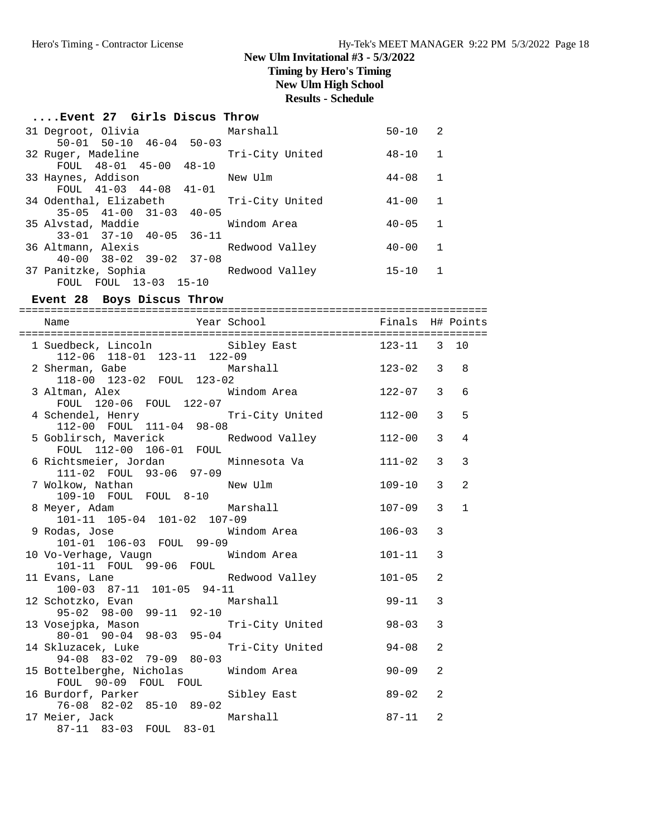**Timing by Hero's Timing**

**New Ulm High School**

# **Results - Schedule**

| Event 27 Girls Discus Throw |
|-----------------------------|
|-----------------------------|

| 31 Degroot, Olivia<br>Marshall            | $50 - 10$ | 2              |
|-------------------------------------------|-----------|----------------|
| $50-01$ $50-10$ $46-04$ $50-03$           |           |                |
| 32 Ruger, Madeline<br>Tri-City United     | $48 - 10$ | $\overline{1}$ |
| FOUL 48-01 45-00<br>$48 - 10$             |           |                |
| 33 Haynes, Addison<br>New Ulm             | $44 - 08$ | $\mathbf{1}$   |
| FOUL 41-03 44-08 41-01                    |           |                |
| 34 Odenthal, Elizabeth<br>Tri-City United | $41 - 00$ | $\mathbf{1}$   |
| $35-05$ $41-00$ $31-03$ $40-05$           |           |                |
| Windom Area<br>35 Alvstad, Maddie         | $40 - 05$ | $\overline{1}$ |
| $33-01$ $37-10$ $40-05$ $36-11$           |           |                |
| 36 Altmann, Alexis<br>Redwood Valley      | $40 - 00$ | -1             |
| $40 - 00$ $38 - 02$ $39 - 02$ $37 - 08$   |           |                |
| 37 Panitzke, Sophia<br>Redwood Valley     | $15 - 10$ |                |
| FOUL 13-03 15-10<br>FOUL                  |           |                |

#### **Event 28 Boys Discus Throw**

==========================================================================

| Name                                                                                                                                         | Year School                        | Finals H# Points |                |                |
|----------------------------------------------------------------------------------------------------------------------------------------------|------------------------------------|------------------|----------------|----------------|
| ================================<br>1 Suedbeck, Lincoln             Sibley East             123-11     3   10<br>112-06 118-01 123-11 122-09 | ================================== |                  |                |                |
| 2 Sherman, Gabe Marshall<br>118-00 123-02 FOUL 123-02                                                                                        |                                    | $123 - 02$ 3     |                | 8              |
| 3 Altman, Alex Mindom Area<br>FOUL 120-06 FOUL 122-07                                                                                        |                                    | $122 - 07$       | 3              | 6              |
| 4 Schendel, Henry<br>112-00 FOUL 111-04 98-08                                                                                                | Tri-City United                    | $112 - 00$       | 3              | 5              |
| 5 Goblirsch, Maverick Redwood Valley<br>FOUL 112-00 106-01 FOUL                                                                              |                                    | $112 - 00$       | 3              | 4              |
| 6 Richtsmeier, Jordan Minnesota Va<br>111-02 FOUL 93-06 97-09                                                                                |                                    | $111 - 02$       | 3              | 3              |
| 7 Wolkow, Nathan New Ulm<br>109-10 FOUL FOUL 8-10                                                                                            |                                    | $109 - 10$       | $\overline{3}$ | $\overline{2}$ |
| 8 Meyer, Adam Marshall<br>101-11 105-04 101-02 107-09                                                                                        |                                    | $107 - 09$       | $\overline{3}$ | $\mathbf{1}$   |
| 9 Rodas, Jose Nindom Area<br>101-01 106-03 FOUL 99-09                                                                                        |                                    | $106 - 03$       | 3              |                |
| 10 Vo-Verhage, Vaugn Mindom Area<br>101-11 FOUL 99-06 FOUL                                                                                   |                                    | $101 - 11$       | 3              |                |
| 11 Evans, Lane Redwood Valley<br>100-03 87-11 101-05 94-11                                                                                   |                                    | $101 - 05$       | 2              |                |
| 12 Schotzko, Evan<br>95-02 98-00 99-11 92-10                                                                                                 | Marshall                           | $99 - 11$        | 3              |                |
| 13 Vosejpka, Mason<br>sejpka, Mason<br>80-01 90-04 98-03 95-04                                                                               | Tri-City United                    | $98 - 03$        | 3              |                |
| 14 Skluzacek, Luke<br>$94-08$ $83-02$ $79-09$ $80-03$                                                                                        | Tri-City United                    | $94 - 08$        | 2              |                |
| 15 Bottelberghe, Nicholas Windom Area<br>FOUL 90-09 FOUL FOUL                                                                                |                                    | $90 - 09$        | 2              |                |
| 16 Burdorf, Parker<br>76-08 82-02 85-10 89-02                                                                                                | Sibley East                        | 89-02            | 2              |                |
| 17 Meier, Jack Marshall<br>87-11 83-03 FOUL 83-01                                                                                            |                                    | 87-11            | 2              |                |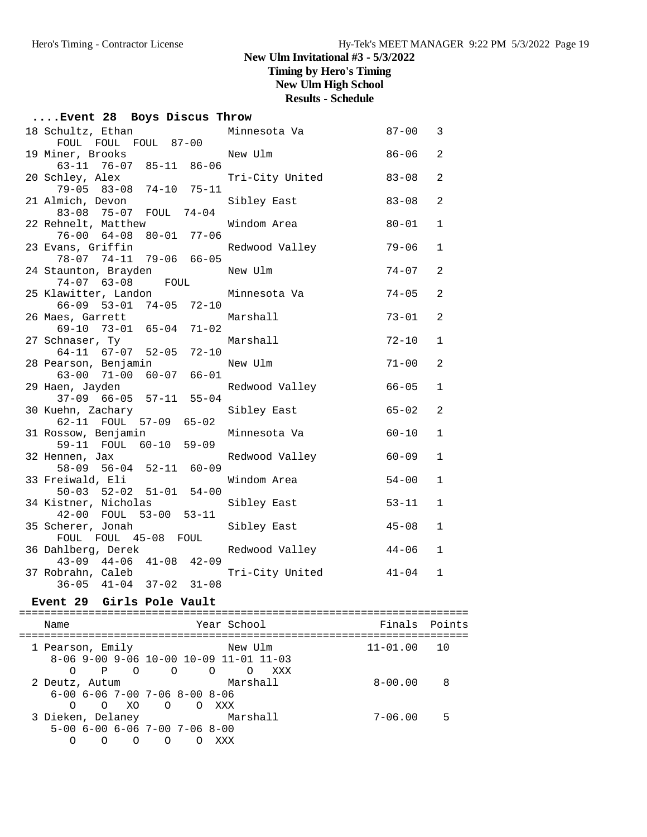**New Ulm High School**

**Results - Schedule**

# **....Event 28 Boys Discus Throw**

|  | 18 Schultz, Ethan                           |           | Minnesota Va    | $87 - 00$ | 3              |
|--|---------------------------------------------|-----------|-----------------|-----------|----------------|
|  | FOUL FOUL FOUL 87-00                        |           |                 |           |                |
|  | 19 Miner, Brooks<br>63-11 76-07 85-11 86-06 |           | New Ulm         | $86 - 06$ | 2              |
|  | 20 Schley, Alex                             |           | Tri-City United | $83 - 08$ | 2              |
|  | 79-05 83-08 74-10 75-11                     |           |                 |           |                |
|  | 21 Almich, Devon                            |           | Sibley East     | $83 - 08$ | 2              |
|  | 83-08 75-07 FOUL 74-04                      |           |                 |           |                |
|  | 22 Rehnelt, Matthew                         |           | Windom Area     | $80 - 01$ | $\mathbf{1}$   |
|  | 76-00 64-08 80-01 77-06                     |           |                 |           |                |
|  | 23 Evans, Griffin                           |           | Redwood Valley  | $79 - 06$ | $\mathbf{1}$   |
|  | $79 - 06$ 66-05<br>$78 - 07$ $74 - 11$      |           |                 |           |                |
|  | 24 Staunton, Brayden                        |           | New Ulm         | $74 - 07$ | $\overline{a}$ |
|  | $74 - 07$ 63-08<br>FOUL                     |           |                 |           |                |
|  | 25 Klawitter, Landon                        |           | Minnesota Va    | $74 - 05$ | 2              |
|  | 66-09 53-01 74-05 72-10                     |           |                 |           |                |
|  | 26 Maes, Garrett                            |           | Marshall        | $73 - 01$ | 2              |
|  | 69-10 73-01 65-04                           | $71 - 02$ |                 |           |                |
|  | 27 Schnaser, Ty<br>$64-11$ $67-07$ $52-05$  |           | Marshall        | $72 - 10$ | $\mathbf{1}$   |
|  | 28 Pearson, Benjamin                        | $72 - 10$ | New Ulm         | $71 - 00$ | $\overline{a}$ |
|  | 63-00 71-00 60-07 66-01                     |           |                 |           |                |
|  | 29 Haen, Jayden                             |           | Redwood Valley  | $66 - 05$ | $\mathbf{1}$   |
|  | $37-09$ $66-05$ $57-11$                     | $55 - 04$ |                 |           |                |
|  | 30 Kuehn, Zachary                           |           | Sibley East     | $65 - 02$ | $\overline{a}$ |
|  | $62-11$ FOUL $57-09$ $65-02$                |           |                 |           |                |
|  | 31 Rossow, Benjamin                         |           | Minnesota Va    | $60 - 10$ | $\mathbf{1}$   |
|  | 59-11 FOUL 60-10 59-09                      |           |                 |           |                |
|  | 32 Hennen, Jax                              |           | Redwood Valley  | $60 - 09$ | $\mathbf{1}$   |
|  | 58-09 56-04 52-11 60-09                     |           |                 |           |                |
|  | 33 Freiwald, Eli                            |           | Windom Area     | $54 - 00$ | $\mathbf{1}$   |
|  | 50-03 52-02 51-01 54-00                     |           |                 |           |                |
|  | 34 Kistner, Nicholas                        |           | Sibley East     | $53 - 11$ | $\mathbf{1}$   |
|  | 42-00 FOUL 53-00 53-11                      |           |                 |           |                |
|  | 35 Scherer, Jonah<br>FOUL FOUL 45-08 FOUL   |           | Sibley East     | $45 - 08$ | $\mathbf 1$    |
|  | 36 Dahlberg, Derek                          |           | Redwood Valley  | $44 - 06$ | $\mathbf{1}$   |
|  | 43-09 44-06 41-08 42-09                     |           |                 |           |                |
|  | 37 Robrahn, Caleb                           |           | Tri-City United | $41 - 04$ | $\mathbf{1}$   |
|  | 36-05 41-04 37-02 31-08                     |           |                 |           |                |
|  |                                             |           |                 |           |                |

## **Event 29 Girls Pole Vault**

| Name                                                     | Year School                                            | Finals Points   |    |
|----------------------------------------------------------|--------------------------------------------------------|-----------------|----|
| 1 Pearson, Emily                                         | New Ulm<br>$8-06$ 9-00 9-06 10-00 10-09 11-01 11-03    | $11 - 01.00 10$ |    |
| $\Omega$<br>$\Omega$<br>$\overline{P}$<br>2 Deutz, Autum | $\circ$<br><u>റ</u><br>XXX<br>∩<br>Marshall            | $8 - 00.00$     | 8  |
| $\Omega$                                                 | $6-00$ $6-06$ $7-00$ $7-06$ $8-00$ $8-06$<br>OXOO OXXX |                 |    |
| 3 Dieken, Delaney                                        | Marshall<br>$5-00$ 6-00 6-06 7-00 7-06 8-00            | $7 - 06.00$     | .5 |
| ∩<br>∩<br>∩                                              | ∩<br>XXX                                               |                 |    |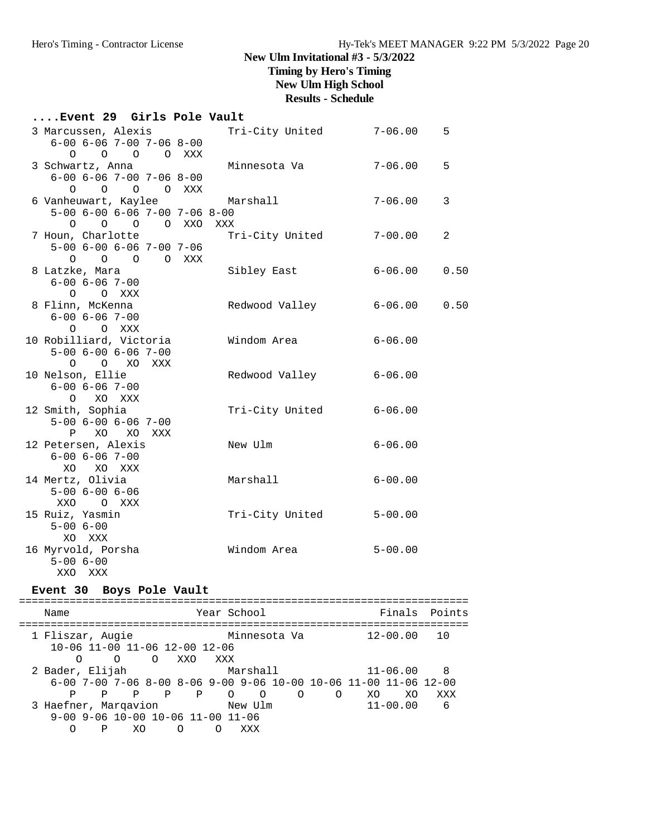**Timing by Hero's Timing New Ulm High School**

**Results - Schedule**

## **....Event 29 Girls Pole Vault**

| 3 Marcussen, Alexis<br>$6 - 00$ $6 - 06$ $7 - 00$ $7 - 06$ $8 - 00$                        | Tri-City United | $7 - 06.00$ | 5    |
|--------------------------------------------------------------------------------------------|-----------------|-------------|------|
| 0 0 0 0 XXX                                                                                |                 |             |      |
| 3 Schwartz, Anna<br>$6 - 00$ $6 - 06$ $7 - 00$ $7 - 06$ $8 - 00$<br>0 0 0 0 XXX            | Minnesota Va    | $7 - 06.00$ | 5    |
| 6 Vanheuwart, Kaylee<br>$5-00$ $6-00$ $6-06$ $7-00$ $7-06$ $8-00$<br>0 0 0 0 XXO XXX       | Marshall        | $7 - 06.00$ | 3    |
| 7 Houn, Charlotte<br>$5 - 00$ $6 - 00$ $6 - 06$ $7 - 00$ $7 - 06$<br>$O$ $O$ $O$ $O$ $XXX$ | Tri-City United | $7 - 00.00$ | 2    |
| 8 Latzke, Mara<br>$6 - 00$ $6 - 06$ $7 - 00$<br>O O XXX                                    | Sibley East     | $6 - 06.00$ | 0.50 |
| 8 Flinn, McKenna<br>$6 - 00$ $6 - 06$ $7 - 00$<br>O O XXX                                  | Redwood Valley  | $6 - 06.00$ | 0.50 |
| 10 Robilliard, Victoria<br>$5 - 00$ $6 - 00$ $6 - 06$ $7 - 00$<br>O O XO XXX               | Windom Area     | $6 - 06.00$ |      |
| 10 Nelson, Ellie<br>$6 - 00$ $6 - 06$ $7 - 00$<br>O XO XXX                                 | Redwood Valley  | $6 - 06.00$ |      |
| 12 Smith, Sophia<br>$5 - 00$ $6 - 00$ $6 - 06$ $7 - 00$<br>P XO XO XXX                     | Tri-City United | $6 - 06.00$ |      |
| 12 Petersen, Alexis<br>$6 - 00$ $6 - 06$ $7 - 00$<br>XO XO XXX                             | New Ulm         | $6 - 06.00$ |      |
| 14 Mertz, Olivia<br>$5 - 00$ $6 - 00$ $6 - 06$<br>XXO O XXX                                | Marshall        | $6 - 00.00$ |      |
| 15 Ruiz, Yasmin<br>$5 - 00$ $6 - 00$<br>XO XXX                                             | Tri-City United | $5 - 00.00$ |      |
| 16 Myrvold, Porsha<br>$5 - 00 6 - 00$<br>XXO XXX                                           | Windom Area     | $5 - 00.00$ |      |

## **Event 30 Boys Pole Vault**

| Name                                                                                                                                             | Year School                     |                      |                           | Finals Points |
|--------------------------------------------------------------------------------------------------------------------------------------------------|---------------------------------|----------------------|---------------------------|---------------|
| 1 Fliszar, Augie<br>10-06 11-00 11-06 12-00 12-06<br>$\Omega$<br>XXO<br>$\Omega$<br>∩                                                            | Minnesota Va<br>XXX             |                      | $12 - 00.00$              | 10            |
| 2 Bader, Elijah<br>$6-00$ 7-00 7-06 8-00 8-06 9-00 9-06 10-00 10-06 11-00 11-06 12-00<br>$\mathbf P$<br>P<br>$\overline{P}$<br>$\mathbf{P}$<br>P | Marshall<br>$\Omega$<br>$\circ$ | $\Omega$<br>$\Omega$ | $11 - 06.00$<br>XO.<br>XO | - 8<br>XXX    |
| 3 Haefner, Margavion<br>9-00 9-06 10-00 10-06 11-00 11-06<br>XO<br>$\Omega$<br>P<br>O                                                            | New Ulm<br>XXX                  |                      | $11 - 00.00$              | 6             |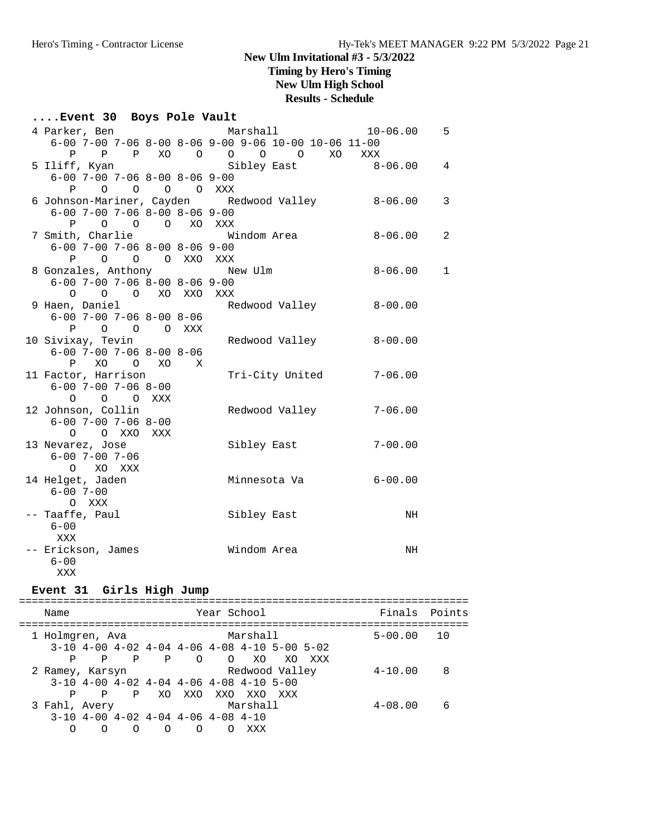## **Timing by Hero's Timing New Ulm High School Results - Schedule**

#### **....Event 30 Boys Pole Vault**

| 4 Parker, Ben                       | Marshall                                               | $10 - 06.00$ 5 |              |
|-------------------------------------|--------------------------------------------------------|----------------|--------------|
|                                     | $6-00$ 7-00 7-06 8-00 8-06 9-00 9-06 10-00 10-06 11-00 |                |              |
|                                     | P P P XO O O O O XO XXX                                |                |              |
| 5 Iliff, Kyan                       | Sibley East                                            | $8 - 06.00$ 4  |              |
| $6-00$ 7-00 7-06 8-00 8-06 9-00     |                                                        |                |              |
| O O O O XXX<br>P                    |                                                        |                |              |
|                                     | 6 Johnson-Mariner, Cayden Redwood Valley 8-06.00       |                | 3            |
| $6-00$ 7-00 7-06 8-00 8-06 9-00     |                                                        |                |              |
| P O O O XO XXX                      |                                                        |                |              |
| 7 Smith, Charlie <b>Windom Area</b> |                                                        | $8 - 06.00$    | 2            |
| $6-00$ 7-00 7-06 8-00 8-06 9-00     |                                                        |                |              |
| P O O O XXO XXX                     |                                                        |                |              |
| 8 Gonzales, Anthony Mew Ulm         |                                                        | $8 - 06.00$    | $\mathbf{1}$ |
| $6-00$ 7-00 7-06 8-00 8-06 9-00     |                                                        |                |              |
| 0 0 0 XO XXO XXX                    |                                                        |                |              |
| 9 Haen, Daniel                      | Redwood Valley                                         | $8 - 00.00$    |              |
| $6 - 00$ 7-00 7-06 8-00 8-06        |                                                        |                |              |
| P O O O XXX                         |                                                        |                |              |
| 10 Sivixay, Tevin                   | Redwood Valley                                         | $8 - 00.00$    |              |
| $6 - 00$ 7-00 7-06 8-00 8-06        |                                                        |                |              |
| P XO O XO X                         |                                                        |                |              |
| 11 Factor, Harrison                 | Tri-City United                                        | $7 - 06.00$    |              |
| $6 - 00$ 7-00 7-06 8-00             |                                                        |                |              |
| O O O XXX                           |                                                        |                |              |
| 12 Johnson, Collin                  | Redwood Valley                                         | $7 - 06.00$    |              |
| $6 - 00$ 7-00 7-06 8-00             |                                                        |                |              |
| O O XXO XXX                         |                                                        |                |              |
| 13 Nevarez, Jose                    | Sibley East                                            | $7 - 00.00$    |              |
| 6-00 7-00 7-06                      |                                                        |                |              |
| O XO XXX                            |                                                        |                |              |
| 14 Helget, Jaden                    | Minnesota Va                                           | $6 - 00.00$    |              |
| $6 - 00$ $7 - 00$                   |                                                        |                |              |
| O XXX                               |                                                        |                |              |
| -- Taaffe, Paul                     | Sibley East                                            | NH             |              |
| $6 - 00$                            |                                                        |                |              |
| XXX                                 |                                                        |                |              |
| -- Erickson, James                  | Windom Area                                            | NH             |              |
| $6 - 00$                            |                                                        |                |              |
| XXX                                 |                                                        |                |              |

#### **Event 31 Girls High Jump**

======================================================================= Name Year School Finals Points ======================================================================= 1 Holmgren, Ava Marshall 5-00.00 10<br>3-10 4-00 4-02 4-04 4-06 4-08 4-10 5-00 5-02 3-10 4-00 4-02 4-04 4-06 4-08 4-10 5-00 5-02 P P P P O O XO XO XXX 2 Ramey, Karsyn Redwood Valley 4-10.00 8 3-10 4-00 4-02 4-04 4-06 4-08 4-10 5-00 P P P XO XXO XXO XXO XXX 3 Fahl, Avery Marshall 4-08.00 6 3-10 4-00 4-02 4-04 4-06 4-08 4-10 O O O O O O XXX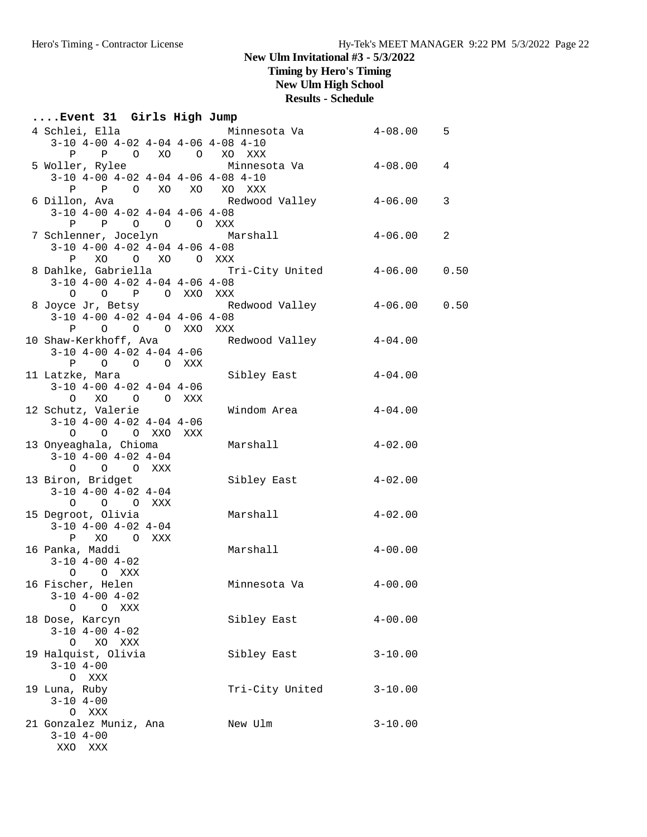**Timing by Hero's Timing New Ulm High School**

**Results - Schedule**

| Event 31 Girls High Jump                                   |  |                                                        |              |   |
|------------------------------------------------------------|--|--------------------------------------------------------|--------------|---|
| 4 Schlei, Ella                                             |  | Minnesota Va                                           | $4 - 08.00$  | 5 |
| $3-10$ $4-00$ $4-02$ $4-04$ $4-06$ $4-08$ $4-10$           |  |                                                        |              |   |
| P P O XO O XO XXX                                          |  |                                                        |              |   |
| 5 Woller, Rylee                                            |  | Minnesota Va                                           | $4 - 08.00$  | 4 |
| $3-10$ $4-00$ $4-02$ $4-04$ $4-06$ $4-08$ $4-10$           |  |                                                        |              |   |
| P P O XO XO XO XXX                                         |  |                                                        |              |   |
| 6 Dillon, Ava<br>$3-10$ $4-00$ $4-02$ $4-04$ $4-06$ $4-08$ |  | Redwood Valley 1-06.00                                 |              | 3 |
| P P O O O XXX                                              |  |                                                        |              |   |
| 7 Schlenner, Jocelyn Marshall                              |  |                                                        | $4 - 06.00$  | 2 |
| $3-10$ $4-00$ $4-02$ $4-04$ $4-06$ $4-08$                  |  |                                                        |              |   |
| P XO O XO O XXX                                            |  |                                                        |              |   |
|                                                            |  |                                                        |              |   |
| $3-10$ $4-00$ $4-02$ $4-04$ $4-06$ $4-08$                  |  |                                                        |              |   |
| O O P O XXO XXX                                            |  |                                                        |              |   |
|                                                            |  | 8 Joyce Jr, Betsy Charles Redwood Valley 24-06.00 0.50 |              |   |
| $3-10$ $4-00$ $4-02$ $4-04$ $4-06$ $4-08$                  |  |                                                        |              |   |
| P O O O XXO XXX                                            |  |                                                        |              |   |
| $3-10$ $4-00$ $4-02$ $4-04$ $4-06$                         |  | 10 Shaw-Kerkhoff, Ava     Redwood Valley       4-04.00 |              |   |
| P O O O XXX                                                |  |                                                        |              |   |
| 11 Latzke, Mara                                            |  | Sibley East                                            | $4 - 04.00$  |   |
| $3-10$ $4-00$ $4-02$ $4-04$ $4-06$                         |  |                                                        |              |   |
| O XO O O XXX                                               |  |                                                        |              |   |
| 12 Schutz, Valerie                                         |  | Windom Area                                            | $4 - 04$ .00 |   |
| $3-10$ $4-00$ $4-02$ $4-04$ $4-06$                         |  |                                                        |              |   |
| 0 0 0 XXO XXX                                              |  |                                                        |              |   |
| 13 Onyeaghala, Chioma                                      |  | Marshall                                               | $4 - 02.00$  |   |
| $3-10$ $4-00$ $4-02$ $4-04$<br>O O O XXX                   |  |                                                        |              |   |
| 13 Biron, Bridget                                          |  | $4 - 02.00$<br>Sibley East                             |              |   |
| $3-10$ $4-00$ $4-02$ $4-04$                                |  |                                                        |              |   |
| $O$ $O$ $O$ $XXX$                                          |  |                                                        |              |   |
| 15 Degroot, Olivia                                         |  | Marshall                                               | $4 - 02.00$  |   |
| $3-10$ $4-00$ $4-02$ $4-04$                                |  |                                                        |              |   |
| P XO O XXX                                                 |  |                                                        |              |   |
| 16 Panka, Maddi                                            |  | Marshall                                               | $4 - 00.00$  |   |
| $3-10$ $4-00$ $4-02$                                       |  |                                                        |              |   |
| O O XXX                                                    |  |                                                        |              |   |
| 16 Fischer, Helen<br>$3-10$ $4-00$ $4-02$                  |  | Minnesota Va                                           | $4 - 00.00$  |   |
| O O XXX                                                    |  |                                                        |              |   |
| 18 Dose, Karcyn                                            |  | Sibley East                                            | $4 - 00.00$  |   |
| $3-10$ $4-00$ $4-02$                                       |  |                                                        |              |   |
| $\circ$<br>XO XXX                                          |  |                                                        |              |   |
| 19 Halquist, Olivia                                        |  | Sibley East                                            | $3 - 10.00$  |   |
| $3 - 10$ $4 - 00$                                          |  |                                                        |              |   |
| O XXX                                                      |  |                                                        |              |   |
| 19 Luna, Ruby                                              |  | Tri-City United                                        | $3 - 10.00$  |   |
| $3 - 10$ $4 - 00$                                          |  |                                                        |              |   |
| O XXX<br>21 Gonzalez Muniz, Ana                            |  | New Ulm                                                | $3 - 10.00$  |   |
| $3-10$ 4-00                                                |  |                                                        |              |   |
| XXO XXX                                                    |  |                                                        |              |   |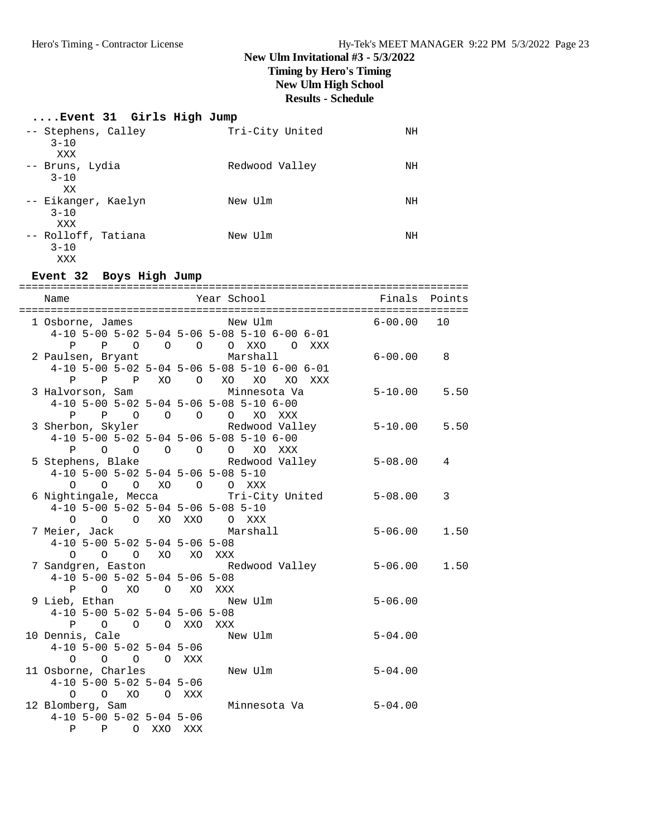**New Ulm High School**

**Results - Schedule**

## **....Event 31 Girls High Jump**

| -- Stephens, Calley<br>$3 - 10$<br>XXX | Tri-City United | ΝH |
|----------------------------------------|-----------------|----|
| -- Bruns, Lydia<br>$3 - 10$<br>XX      | Redwood Valley  | NH |
| -- Eikanger, Kaelyn<br>$3 - 10$<br>XXX | New Ulm         | ΝH |
| -- Rolloff, Tatiana<br>$3 - 10$<br>XXX | New Ulm         | ΝH |

## **Event 32 Boys High Jump**

|  | Name                                             |       |                       |                    |                                              |  | Year School <a> Finals Points</a>                                                                           |      |
|--|--------------------------------------------------|-------|-----------------------|--------------------|----------------------------------------------|--|-------------------------------------------------------------------------------------------------------------|------|
|  | 1 Osborne, James New Ulm                         |       |                       |                    |                                              |  | $6 - 00.00$                                                                                                 | 10   |
|  |                                                  |       |                       |                    | 4-10 5-00 5-02 5-04 5-06 5-08 5-10 6-00 6-01 |  |                                                                                                             |      |
|  | P                                                |       |                       |                    | P O O O O XXO O XXX                          |  |                                                                                                             |      |
|  | 2 Paulsen, Bryant             Marshall           |       |                       |                    |                                              |  | $6 - 00.00$                                                                                                 | 8    |
|  |                                                  |       |                       |                    | 4-10 5-00 5-02 5-04 5-06 5-08 5-10 6-00 6-01 |  |                                                                                                             |      |
|  |                                                  |       |                       |                    | P P P XO O XO XO XO XXX                      |  |                                                                                                             |      |
|  | 3 Halvorson, Sam Minnesota Va                    |       |                       |                    |                                              |  | $5 - 10.00$                                                                                                 | 5.50 |
|  |                                                  |       |                       |                    | 4-10 5-00 5-02 5-04 5-06 5-08 5-10 6-00      |  |                                                                                                             |      |
|  |                                                  |       |                       |                    |                                              |  |                                                                                                             |      |
|  |                                                  |       |                       |                    |                                              |  | P P O O O O XO XXX<br>3 Sherbon, Skyler                       Redwood Valley             5-10.00       5.50 |      |
|  |                                                  |       |                       |                    | 4-10 5-00 5-02 5-04 5-06 5-08 5-10 6-00      |  |                                                                                                             |      |
|  |                                                  |       |                       |                    | P O O O O O XO XXX                           |  |                                                                                                             |      |
|  | 5 Stephens, Blake Redwood Valley 5-08.00         |       |                       |                    |                                              |  |                                                                                                             | 4    |
|  | 4-10 5-00 5-02 5-04 5-06 5-08 5-10               |       |                       |                    |                                              |  |                                                                                                             |      |
|  | $\Omega$                                         |       |                       | O O XO O O XXX     |                                              |  |                                                                                                             |      |
|  | 6 Nightingale, Mecca Tri-City United             |       |                       |                    |                                              |  | $5 - 08.00$                                                                                                 | 3    |
|  | $4-10$ 5-00 5-02 5-04 5-06 5-08 5-10             |       |                       |                    |                                              |  |                                                                                                             |      |
|  |                                                  |       |                       | 0 0 0 XO XXO O XXX |                                              |  |                                                                                                             |      |
|  | 7 Meier, Jack                                    |       |                       |                    | Marshall                                     |  | $5 - 06.00$                                                                                                 | 1.50 |
|  | $4-10$ 5-00 5-02 5-04 5-06 5-08                  |       |                       |                    |                                              |  |                                                                                                             |      |
|  |                                                  |       | 0 0 0 XO XO XXX       |                    |                                              |  |                                                                                                             |      |
|  | 7 Sandgren, Easton                               |       |                       |                    |                                              |  | Redwood Valley 5-06.00                                                                                      | 1.50 |
|  | $4-10$ 5-00 5-02 5-04 5-06 5-08                  |       |                       |                    |                                              |  |                                                                                                             |      |
|  |                                                  |       | P O XO O XO XXX       |                    |                                              |  |                                                                                                             |      |
|  | 9 Lieb, Ethan<br>$4-10$ 5-00 5-02 5-04 5-06 5-08 |       |                       |                    | New Ulm                                      |  | $5 - 06.00$                                                                                                 |      |
|  |                                                  |       | P O O O XXO XXX       |                    |                                              |  |                                                                                                             |      |
|  | 10 Dennis, Cale                                  |       |                       |                    | New Ulm                                      |  | $5 - 04.00$                                                                                                 |      |
|  | $4-10$ 5-00 5-02 5-04 5-06                       |       |                       |                    |                                              |  |                                                                                                             |      |
|  |                                                  |       | $O$ $O$ $O$ $O$ $XXX$ |                    |                                              |  |                                                                                                             |      |
|  | 11 Osborne, Charles                              |       |                       |                    | New Ulm                                      |  | $5 - 04.00$                                                                                                 |      |
|  | $4-10$ 5-00 5-02 5-04 5-06                       |       |                       |                    |                                              |  |                                                                                                             |      |
|  | $\Omega$                                         |       | O XO O XXX            |                    |                                              |  |                                                                                                             |      |
|  | 12 Blomberg, Sam                                 |       |                       |                    | Minnesota Va                                 |  | $5 - 04.00$                                                                                                 |      |
|  | $4-10$ 5-00 5-02 5-04 5-06                       |       |                       |                    |                                              |  |                                                                                                             |      |
|  | P                                                | $P$ 0 | XXO XXX               |                    |                                              |  |                                                                                                             |      |
|  |                                                  |       |                       |                    |                                              |  |                                                                                                             |      |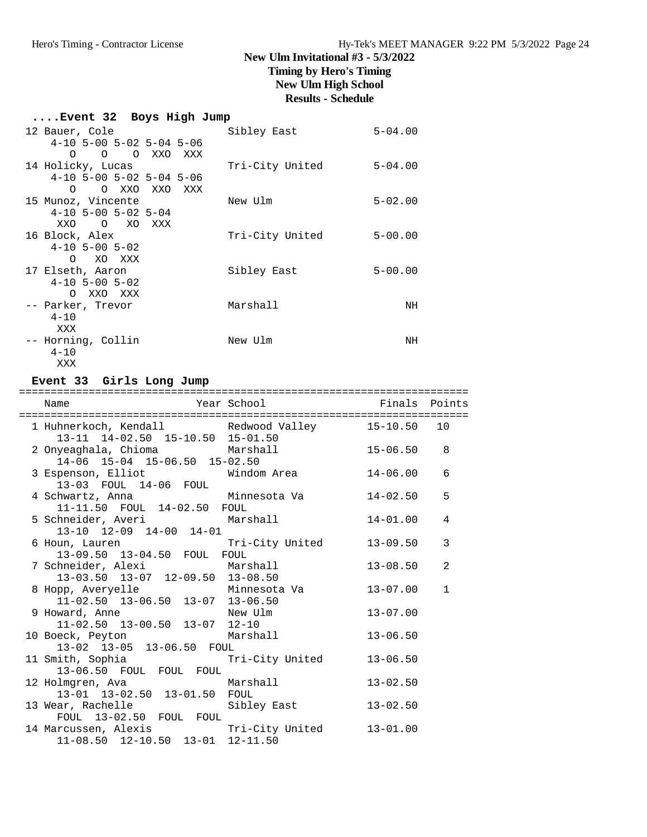## **Timing by Hero's Timing New Ulm High School Results - Schedule**

## **....Event 32 Boys High Jump**

| 12 Bauer, Cole             | Sibley East     | $5 - 04.00$ |
|----------------------------|-----------------|-------------|
| $4-10$ 5-00 5-02 5-04 5-06 |                 |             |
| O O O XXO XXX              |                 |             |
| 14 Holicky, Lucas          | Tri-City United | $5 - 04.00$ |
| $4-10$ 5-00 5-02 5-04 5-06 |                 |             |
| O O XXO XXO XXX            |                 |             |
| 15 Munoz, Vincente         | New Ulm         | $5 - 02.00$ |
| $4-10$ 5-00 5-02 5-04      |                 |             |
| XXO O XO XXX               |                 |             |
| 16 Block, Alex             | Tri-City United | $5 - 00.00$ |
| $4-10$ 5-00 5-02           |                 |             |
| O XO XXX                   |                 |             |
| 17 Elseth, Aaron           | Sibley East     | $5 - 00.00$ |
| $4-10$ 5-00 5-02           |                 |             |
| O XXO XXX                  |                 |             |
| -- Parker, Trevor          | Marshall        | ΝH          |
| $4 - 10$                   |                 |             |
| XXX                        |                 |             |
| -- Horning, Collin         | New Ulm         | NH          |
| $4 - 10$                   |                 |             |
| XXX                        |                 |             |

## **Event 33 Girls Long Jump**

| Name                                                                       |                 |              |              |
|----------------------------------------------------------------------------|-----------------|--------------|--------------|
| 1 Huhnerkoch, Kendall              Redwood Valley          15-10.50        |                 |              | 10           |
| 13-11 14-02.50 15-10.50 15-01.50                                           |                 |              |              |
| 2 Onyeaghala, Chioma Marshall 15-06.50 8                                   |                 |              |              |
| 14-06 15-04 15-06.50 15-02.50                                              |                 |              |              |
| 3 Espenson, Elliot Mindom Area                                             |                 | $14 - 06.00$ | 6            |
| 13-03 FOUL 14-06 FOUL                                                      |                 |              |              |
| 4 Schwartz, Anna (14-02.50)                                                |                 |              | 5            |
| 11-11.50 FOUL 14-02.50 FOUL                                                |                 |              |              |
| 5 Schneider, Averi Marshall 14-01.00<br>13-10 12-09 14-00 14-01            |                 |              | 4            |
|                                                                            |                 |              |              |
| 6 Houn, Lauren Tri-City United                                             |                 | $13 - 09.50$ | 3            |
| 13-09.50 13-04.50 FOUL FOUL                                                |                 |              |              |
| 7 Schneider, Alexi Marshall                                                |                 | 13-08.50     | 2            |
| 13-03.50 13-07 12-09.50 13-08.50                                           |                 |              |              |
| 8 Hopp, Averyelle Minnesota Va 13-07.00                                    |                 |              | $\mathbf{1}$ |
| 11-02.50 13-06.50 13-07 13-06.50                                           |                 |              |              |
| 9 Howard, Anne New Ulm                                                     |                 | $13 - 07.00$ |              |
| 11-02.50 13-00.50 13-07 12-10                                              |                 |              |              |
|                                                                            |                 | $13 - 06.50$ |              |
| 10 Boeck, Peyton<br>13-02 13-05 13-06.50 FOUL<br>13-02 13-05 13-06.50 FOUL |                 |              |              |
| 11 Smith, Sophia                                                           | Tri-City United | $13 - 06.50$ |              |
| 13-06.50 FOUL FOUL FOUL                                                    |                 |              |              |
| 12 Holmgren, Ava Marshall<br>13-01 13-02.50 13-01.50 FOUL                  |                 | $13 - 02.50$ |              |
|                                                                            |                 |              |              |
| 13 Wear, Rachelle Sibley East                                              |                 | $13 - 02.50$ |              |
| FOUL 13-02.50 FOUL FOUL                                                    |                 |              |              |
| 14 Marcussen, Alexis Tri-City United 13-01.00                              |                 |              |              |
| 11-08.50 12-10.50 13-01 12-11.50                                           |                 |              |              |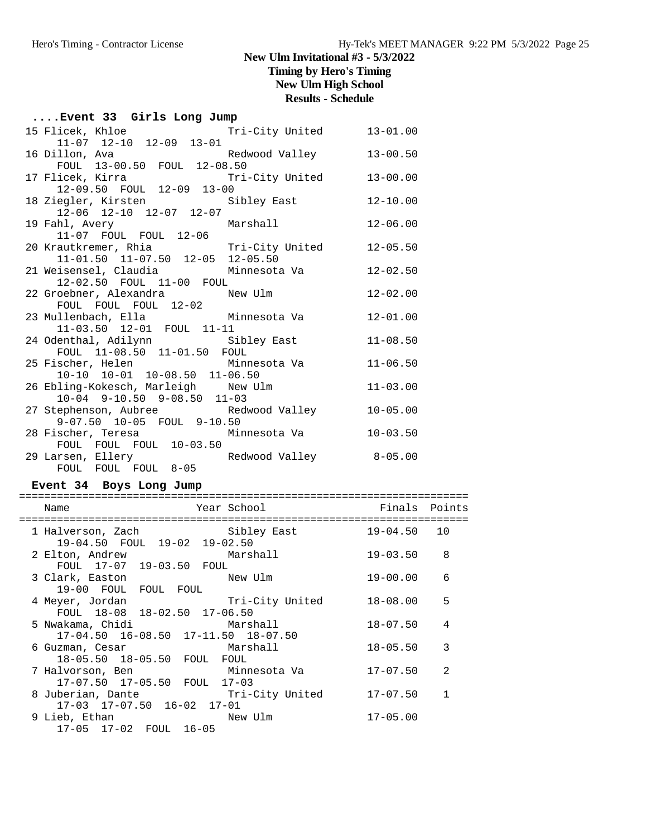**Timing by Hero's Timing New Ulm High School**

## **Results - Schedule**

| Event 33 Girls Long Jump |  |  |  |  |
|--------------------------|--|--|--|--|
|--------------------------|--|--|--|--|

| $11-07$ $12-10$ $12-09$ $13-01$<br>$13 - 00.50$<br>$13 - 00.00$<br>12-09.50 FOUL 12-09 13-00<br>18 Ziegler, Kirsten aus Sibley East<br>$12 - 10.00$<br>12-06 12-10 12-07 12-07<br>19 Fahl, Avery Marshall<br>11-07 FOUL FOUL 12-06<br>$12 - 06.00$<br>20 Krautkremer, Rhia Tri-City United<br>11-01.50 11-07.50 12-05 12-05.50<br>$12 - 05.50$<br>21 Weisensel, Claudia       Minnesota Va<br>$12 - 02.50$<br>12-02.50 FOUL 11-00 FOUL<br>22 Groebner, Alexandra Mew Ulm<br>$12 - 02.00$<br>$12 - 01.00$<br>11-03.50 12-01 FOUL 11-11<br>24 Odenthal, Adilynn               Sibley East<br>$11 - 08.50$<br>FOUL 11-08.50 11-01.50 FOUL<br>25 Fischer, Helen Minnesota Va<br>$11 - 06.50$ |
|------------------------------------------------------------------------------------------------------------------------------------------------------------------------------------------------------------------------------------------------------------------------------------------------------------------------------------------------------------------------------------------------------------------------------------------------------------------------------------------------------------------------------------------------------------------------------------------------------------------------------------------------------------------------------------------|
|                                                                                                                                                                                                                                                                                                                                                                                                                                                                                                                                                                                                                                                                                          |
|                                                                                                                                                                                                                                                                                                                                                                                                                                                                                                                                                                                                                                                                                          |
|                                                                                                                                                                                                                                                                                                                                                                                                                                                                                                                                                                                                                                                                                          |
|                                                                                                                                                                                                                                                                                                                                                                                                                                                                                                                                                                                                                                                                                          |
|                                                                                                                                                                                                                                                                                                                                                                                                                                                                                                                                                                                                                                                                                          |
|                                                                                                                                                                                                                                                                                                                                                                                                                                                                                                                                                                                                                                                                                          |
|                                                                                                                                                                                                                                                                                                                                                                                                                                                                                                                                                                                                                                                                                          |
|                                                                                                                                                                                                                                                                                                                                                                                                                                                                                                                                                                                                                                                                                          |
|                                                                                                                                                                                                                                                                                                                                                                                                                                                                                                                                                                                                                                                                                          |
|                                                                                                                                                                                                                                                                                                                                                                                                                                                                                                                                                                                                                                                                                          |
|                                                                                                                                                                                                                                                                                                                                                                                                                                                                                                                                                                                                                                                                                          |
|                                                                                                                                                                                                                                                                                                                                                                                                                                                                                                                                                                                                                                                                                          |
|                                                                                                                                                                                                                                                                                                                                                                                                                                                                                                                                                                                                                                                                                          |
|                                                                                                                                                                                                                                                                                                                                                                                                                                                                                                                                                                                                                                                                                          |
|                                                                                                                                                                                                                                                                                                                                                                                                                                                                                                                                                                                                                                                                                          |
|                                                                                                                                                                                                                                                                                                                                                                                                                                                                                                                                                                                                                                                                                          |
|                                                                                                                                                                                                                                                                                                                                                                                                                                                                                                                                                                                                                                                                                          |
|                                                                                                                                                                                                                                                                                                                                                                                                                                                                                                                                                                                                                                                                                          |
|                                                                                                                                                                                                                                                                                                                                                                                                                                                                                                                                                                                                                                                                                          |
|                                                                                                                                                                                                                                                                                                                                                                                                                                                                                                                                                                                                                                                                                          |
| 10-10 10-01 10-08.50 11-06.50                                                                                                                                                                                                                                                                                                                                                                                                                                                                                                                                                                                                                                                            |
| 26 Ebling-Kokesch, Marleigh New Ulm<br>$11 - 03.00$                                                                                                                                                                                                                                                                                                                                                                                                                                                                                                                                                                                                                                      |
| $10-04$ 9-10.50 9-08.50 11-03                                                                                                                                                                                                                                                                                                                                                                                                                                                                                                                                                                                                                                                            |
| 27 Stephenson, Aubree Redwood Valley<br>$10 - 05.00$                                                                                                                                                                                                                                                                                                                                                                                                                                                                                                                                                                                                                                     |
| 9-07.50 10-05 FOUL 9-10.50                                                                                                                                                                                                                                                                                                                                                                                                                                                                                                                                                                                                                                                               |
| 28 Fischer, Teresa               Minnesota Va<br>$10 - 03.50$                                                                                                                                                                                                                                                                                                                                                                                                                                                                                                                                                                                                                            |
| FOUL FOUL FOUL 10-03.50                                                                                                                                                                                                                                                                                                                                                                                                                                                                                                                                                                                                                                                                  |
|                                                                                                                                                                                                                                                                                                                                                                                                                                                                                                                                                                                                                                                                                          |
| 29 Larsen, Ellery                     Redwood Valley             8-05.00<br>FOUL FOUL FOUL 8-05                                                                                                                                                                                                                                                                                                                                                                                                                                                                                                                                                                                          |

# **Event 34 Boys Long Jump**

| Name                                                              | Year School in the control of the control of the control of the control of the control of the control of the c | Finals Points   |               |
|-------------------------------------------------------------------|----------------------------------------------------------------------------------------------------------------|-----------------|---------------|
| 1 Halverson, Zach and Sibley East<br>19-04.50 FOUL 19-02 19-02.50 |                                                                                                                | $19 - 04.50$ 10 |               |
| 2 Elton, Andrew<br>FOUL 17-07 19-03.50 FOUL                       | Marshall Marshall                                                                                              | 19-03.50        | 8             |
| 3 Clark, Easton<br>19-00 FOUL FOUL FOUL                           | New Ulm                                                                                                        | $19 - 00.00$    | 6             |
| FOUL 18-08 18-02.50 17-06.50                                      |                                                                                                                | $18 - 08.00$    | 5             |
| 5 Nwakama, Chidi<br>17-04.50 16-08.50 17-11.50 18-07.50           | Marshall Marshall                                                                                              | $18 - 07.50$    | 4             |
| 6 Guzman, Cesar<br>18-05.50 18-05.50 FOUL FOUL                    | Marshall                                                                                                       | $18 - 05.50$    | 3             |
| 7 Halvorson, Ben<br>17-07.50 17-05.50 FOUL 17-03                  | Minnesota Va                                                                                                   | 17-07.50        | $\mathcal{L}$ |
| 8 Juberian, Dante Tri-City United<br>17-03 17-07.50 16-02 17-01   |                                                                                                                | $17 - 07.50$    |               |
| 9 Lieb, Ethan<br>New Ulm<br>17-05 17-02 FOUL 16-05                |                                                                                                                | $17 - 05.00$    |               |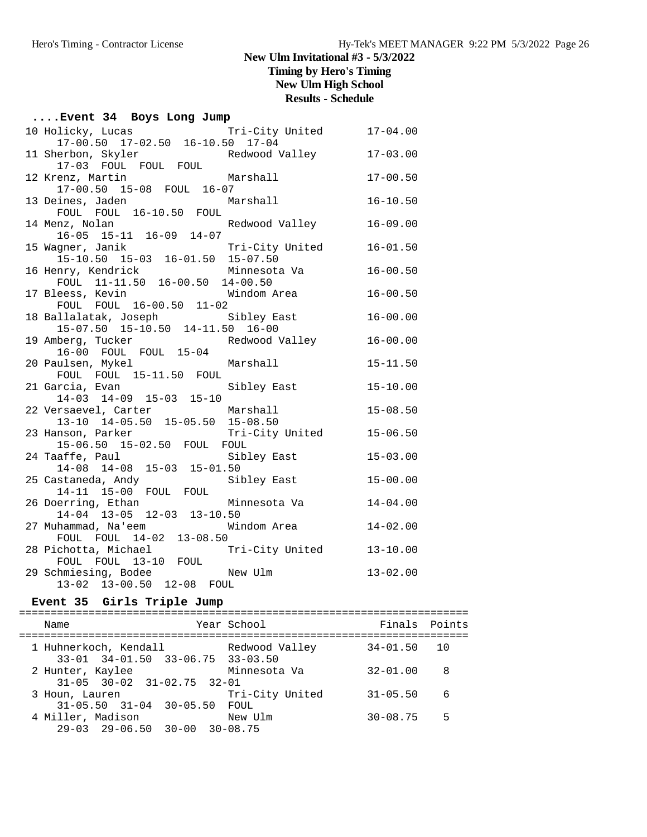## **Timing by Hero's Timing New Ulm High School Results - Schedule**

| Event 34 Boys Long Jump                                                                           |                          |              |
|---------------------------------------------------------------------------------------------------|--------------------------|--------------|
| 10 Holicky, Lucas<br>$17-00.50$ $17-02.50$ $16-10.50$ $17-04$                                     | Tri-City United 17-04.00 |              |
| 11 Sherbon, Skyler                                                                                |                          | $17 - 03.00$ |
| Marshall<br>12 Krenz, Martin<br>17-00.50 15-08 FOUL 16-07                                         |                          | $17 - 00.50$ |
| 13 Deines, Jaden<br>FOUL FOUL 16-10.50 FOUL                                                       | Marshall                 | $16 - 10.50$ |
| 14 Menz, Nolan                                                                                    | Redwood Valley           | $16 - 09.00$ |
| $16-05$ $15-11$ $16-09$ $14-07$<br>15 Wagner, Janik                                               | Tri-City United          | $16 - 01.50$ |
| 15-10.50 15-03 16-01.50 15-07.50<br>16 Henry, Kendrick                                            | Minnesota Va             | $16 - 00.50$ |
| FOUL $11-11.50$ $16-00.50$ $14-00.50$<br>17 Bleess, Kevin                                         | Windom Area              | $16 - 00.50$ |
| FOUL FOUL 16-00.50 11-02<br>18 Ballalatak, Joseph Sibley East<br>15-07.50 15-10.50 14-11.50 16-00 |                          | $16 - 00.00$ |
| 19 Amberg, Tucker<br>16-00 FOUL FOUL 15-04                                                        | Redwood Valley           | $16 - 00.00$ |
| 20 Paulsen, Mykel                                                                                 | Marshall                 | $15 - 11.50$ |
| FOUL FOUL 15-11.50 FOUL<br>21 Garcia, Evan                                                        | Sibley East              | $15 - 10.00$ |
| 14-03 14-09 15-03 15-10<br>22 Versaevel, Carter                                                   | Marshall                 | $15 - 08.50$ |
| 13-10 14-05.50 15-05.50 15-08.50<br>23 Hanson, Parker                                             | Tri-City United 15-06.50 |              |
| 15-06.50 15-02.50 FOUL FOUL                                                                       | Sibley East              | $15 - 03.00$ |
| 24 Taaffe, Paul 51<br>14-08 14-08 15-03 15-01.50<br>25 Castaneda, Andy                            | Sibley East              | $15 - 00.00$ |
| 14-11 15-00 FOUL FOUL                                                                             |                          |              |
| 26 Doerring, Ethan<br>14-04 13-05 12-03 13-10.50                                                  | Minnesota Va             | $14 - 04.00$ |
| 27 Muhammad, Na'eem<br>FOUL FOUL 14-02 13-08.50                                                   | Windom Area              | $14 - 02.00$ |
| 28 Pichotta, Michael<br>FOUL FOUL 13-10 FOUL                                                      | Tri-City United          | $13 - 10.00$ |
| 29 Schmiesing, Bodee<br>New Ulm<br>13-02 13-00.50 12-08 FOUL                                      |                          | $13 - 02.00$ |

# **Event 35 Girls Triple Jump**

| Name                                                              | Year School     | Finals Points   |      |
|-------------------------------------------------------------------|-----------------|-----------------|------|
| 1 Huhnerkoch, Kendall<br>$33-01$ $34-01.50$ $33-06.75$ $33-03.50$ | Redwood Valley  | $34 - 01.50$ 10 |      |
| 2 Hunter, Kaylee<br>$31-05$ $30-02$ $31-02.75$ $32-01$            | Minnesota Va    | $32 - 01.00$    | - 8  |
| 3 Houn, Lauren<br>$31-05.50$ $31-04$ $30-05.50$ FOUL              | Tri-City United | $31 - 05.50$    | - 6  |
| 4 Miller, Madison<br>$29-03$ $29-06.50$ $30-00$ $30-08.75$        | New Ulm         | $30 - 08.75$    | $-5$ |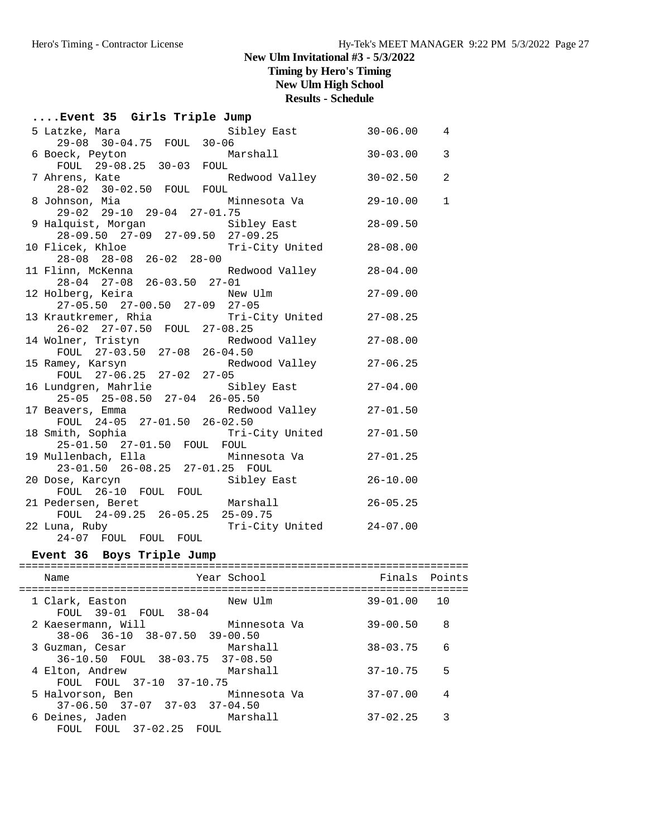**Timing by Hero's Timing**

**New Ulm High School Results - Schedule**

| Event 35 Girls Triple Jump |  |  |  |  |
|----------------------------|--|--|--|--|
|----------------------------|--|--|--|--|

| Sibley East<br>5 Latzke, Mara                                                   | $30 - 06.00$ | 4              |
|---------------------------------------------------------------------------------|--------------|----------------|
| 29-08 30-04.75 FOUL 30-06                                                       |              |                |
| Marshall<br>6 Boeck, Peyton                                                     | $30 - 03.00$ | $\overline{3}$ |
| FOUL 29-08.25 30-03 FOUL                                                        |              |                |
| 7 Ahrens, Kate and Redwood Valley                                               | $30 - 02.50$ | 2              |
| 28-02 30-02.50 FOUL FOUL                                                        |              |                |
| 8 Johnson, Mia<br>Minnesota Va                                                  | $29 - 10.00$ | $\mathbf{1}$   |
| 29-02 29-10 29-04 27-01.75                                                      |              |                |
| 9 Halquist, Morgan             Sibley East                                      | $28 - 09.50$ |                |
| $28-09.50$ $27-09$ $27-09.50$ $27-09.25$                                        |              |                |
| 10 Flicek, Khloe Tri-City United                                                | $28 - 08.00$ |                |
| 28-08 28-08 26-02 28-00                                                         |              |                |
|                                                                                 | $28 - 04.00$ |                |
|                                                                                 |              |                |
| 12 Holberg, Keira New Ulm<br>27-05.50 27-00.50 27-09 27-05                      | $27 - 09.00$ |                |
|                                                                                 |              |                |
| 13 Krautkremer, Rhia             Tri-City United                                | $27 - 08.25$ |                |
| 26-02 27-07.50 FOUL 27-08.25                                                    |              |                |
| 14 Wolner, Tristyn<br>Redwood Valley                                            | $27 - 08.00$ |                |
| FOUL 27-03.50 27-08 26-04.50                                                    |              |                |
| 15 Ramey, Karsyn<br>Redwood Valley                                              | $27 - 06.25$ |                |
| FOUL 27-06.25 27-02 27-05                                                       |              |                |
| 16 Lundgren, Mahrlie<br>Sibley East                                             | $27 - 04.00$ |                |
| 25-05 25-08.50 27-04 26-05.50                                                   |              |                |
| 17 Beavers, Emma<br>Redwood Valley                                              | $27 - 01.50$ |                |
| FOUL 24-05 27-01.50 26-02.50                                                    |              |                |
| 18 Smith, Sophia<br>Tri-City United 27-01.50                                    |              |                |
| 25-01.50 27-01.50 FOUL FOUL                                                     |              |                |
| 19 Mullenbach, Ella Minnesot<br>23-01.50 26-08.25 27-01.25 FOUL<br>Minnesota Va | $27 - 01.25$ |                |
|                                                                                 |              |                |
| Sibley East<br>20 Dose, Karcyn                                                  | $26 - 10.00$ |                |
| FOUL 26-10 FOUL FOUL                                                            |              |                |
| 21 Pedersen, Beret Marshall                                                     | $26 - 05.25$ |                |
| FOUL 24-09.25 26-05.25 25-09.75                                                 |              |                |
| Tri-City United 24-07.00<br>22 Luna, Ruby                                       |              |                |
| 24-07 FOUL FOUL FOUL                                                            |              |                |

# **Event 36 Boys Triple Jump**

| Name                                                      | Year School  | Finals Points |                |
|-----------------------------------------------------------|--------------|---------------|----------------|
| 1 Clark, Easton<br>FOUL 39-01 FOUL 38-04                  | New Ulm      | $39 - 01.00$  | 1 O            |
| 2 Kaesermann, Will<br>38-06 36-10 38-07.50 39-00.50       | Minnesota Va | $39 - 00.50$  | 8              |
| 3 Guzman, Cesar<br>36-10.50 FOUL 38-03.75 37-08.50        | Marshall     | $38 - 03.75$  | 6              |
| 4 Elton, Andrew<br>FOUL FOUL 37-10 37-10.75               | Marshall     | $37 - 10.75$  | 5              |
| 5 Halvorson, Ben<br>$37-06.50$ $37-07$ $37-03$ $37-04.50$ | Minnesota Va | $37 - 07.00$  | $\overline{4}$ |
| 6 Deines, Jaden<br>FOUL FOUL 37-02.25 FOUL                | Marshall     | $37 - 02.25$  | 3              |